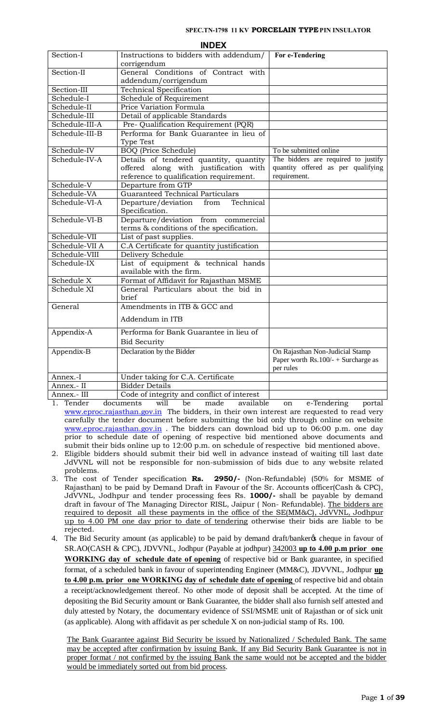|                | <b>INDEX</b>                                  |                                        |
|----------------|-----------------------------------------------|----------------------------------------|
| Section-I      | Instructions to bidders with addendum/        | For e-Tendering                        |
|                | corrigendum                                   |                                        |
| Section-II     | General Conditions of Contract with           |                                        |
|                | addendum/corrigendum                          |                                        |
| Section-III    | <b>Technical Specification</b>                |                                        |
| Schedule-I     | Schedule of Requirement                       |                                        |
| Schedule-II    | Price Variation Formula                       |                                        |
| Schedule-III   | Detail of applicable Standards                |                                        |
| Schedule-III-A | Pre- Qualification Requirement (PQR)          |                                        |
| Schedule-III-B | Performa for Bank Guarantee in lieu of        |                                        |
|                | <b>Type Test</b>                              |                                        |
| Schedule-IV    | <b>BOQ</b> (Price Schedule)                   | To be submitted online                 |
| Schedule-IV-A  | Details of tendered quantity, quantity        | The bidders are required to justify    |
|                | offered along with justification with         | quantity offered as per qualifying     |
|                | reference to qualification requirement.       | requirement.                           |
| Schedule-V     | Departure from GTP                            |                                        |
| Schedule-VA    | <b>Guaranteed Technical Particulars</b>       |                                        |
| Schedule-VI-A  | Departure/deviation<br>Technical<br>from      |                                        |
|                | Specification.                                |                                        |
| Schedule-VI-B  | Departure/deviation from commercial           |                                        |
|                | terms & conditions of the specification.      |                                        |
| Schedule-VII   | List of past supplies.                        |                                        |
| Schedule-VII A | C.A Certificate for quantity justification    |                                        |
| Schedule-VIII  | Delivery Schedule                             |                                        |
| Schedule-IX    | List of equipment & technical hands           |                                        |
|                | available with the firm.                      |                                        |
| Schedule X     | Format of Affidavit for Rajasthan MSME        |                                        |
| Schedule XI    | General Particulars about the bid in<br>brief |                                        |
| General        | Amendments in ITB & GCC and                   |                                        |
|                | Addendum in ITB                               |                                        |
| Appendix-A     | Performa for Bank Guarantee in lieu of        |                                        |
|                | <b>Bid Security</b>                           |                                        |
| Appendix-B     | Declaration by the Bidder                     | On Rajasthan Non-Judicial Stamp        |
|                |                                               | Paper worth Rs. $100/- +$ Surcharge as |
|                |                                               | per rules                              |
| Annex.-I       | Under taking for C.A. Certificate             |                                        |
| Annex.- II     | <b>Bidder Details</b>                         |                                        |
| Annex.- III    | Code of integrity and conflict of interest    |                                        |

1. Tender documents will be made available on e-Tendering portal [www.eproc.rajasthan.gov.in](http://www.eproc.rajasthan.gov.in/) The bidders, in their own interest are requested to read very carefully the tender document before submitting the bid only through online on website [www.eproc.rajasthan.gov.in](http://www.eproc.rajasthan.gov.in/). The bidders can download bid up to 06:00 p.m. one day prior to schedule date of opening of respective bid mentioned above documents and submit their bids online up to 12:00 p.m. on schedule of respective bid mentioned above.

- 2. Eligible bidders should submit their bid well in advance instead of waiting till last date JdVVNL will not be responsible for non-submission of bids due to any website related problems.
- 3. The cost of Tender specification **Rs. 2950/-** (Non-Refundable) (50% for MSME of Rajasthan) to be paid by Demand Draft in Favour of the Sr. Accounts officer(Cash & CPC), JdVVNL, Jodhpur and tender processing fees Rs. **1000/-** shall be payable by demand draft in favour of The Managing Director RISL, Jaipur (Non-Refundable). The bidders are required to deposit all these payments in the office of the SE(MM&C), JdVVNL, Jodhpur up to 4.00 PM one day prior to date of tendering otherwise their bids are liable to be rejected.
- 4. The Bid Security amount (as applicable) to be paid by demand draft/banker $\alpha$  cheque in favour of SR.AO(CASH & CPC), JDVVNL, Jodhpur (Payable at jodhpur) 342003 **up to 4.00 p.m prior one WORKING day of schedule date of opening** of respective bid or Bank guarantee, in specified format, of a scheduled bank in favour of superintending Engineer (MM&C), JDVVNL, Jodhpur **up to 4.00 p.m. prior one WORKING day of schedule date of opening** of respective bid and obtain a receipt/acknowledgement thereof. No other mode of deposit shall be accepted. At the time of depositing the Bid Security amount or Bank Guarantee, the bidder shall also furnish self attested and duly attested by Notary, the documentary evidence of SSI/MSME unit of Rajasthan or of sick unit (as applicable). Along with affidavit as per schedule X on non-judicial stamp of Rs. 100.

The Bank Guarantee against Bid Security be issued by Nationalized / Scheduled Bank. The same may be accepted after confirmation by issuing Bank. If any Bid Security Bank Guarantee is not in proper format / not confirmed by the issuing Bank the same would not be accepted and the bidder would be immediately sorted out from bid process.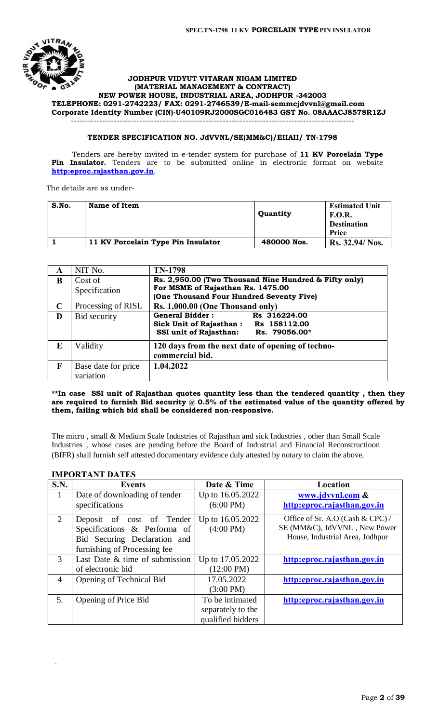

#### **JODHPUR VIDYUT VITARAN NIGAM LIMITED (MATERIAL MANAGEMENT & CONTRACT) NEW POWER HOUSE, INDUSTRIAL AREA, JODHPUR -342003 TELEPHONE: 0291-2742223/ FAX: 0291-2746539/E-mail-[semmcjdvvnl@gmail.com](mailto:semmcjdvvnl@gmail.com) Corporate Identity Number (CIN)-U40109RJ2000SGC016483 GST No. 08AAACJ8578R1ZJ** ---------------------------------------------------------------------------------------------------

# **TENDER SPECIFICATION NO. JdVVNL/SE(MM&C)/EIIAII/ TN-1798**

 Tenders are hereby invited in e-tender system for purchase of **11 KV Porcelain Type**  Pin Insulator. Tenders are to be submitted online in electronic format on website **[http:eproc.rajasthan.gov.in](http://www.eproc.rajasthan.gov.in/nicgep/app)**.

The details are as under-

| S.No. | Name of Item                       | Quantity    | <b>Estimated Unit</b><br><b>F.O.R.</b><br><b>Destination</b><br>Price |
|-------|------------------------------------|-------------|-----------------------------------------------------------------------|
|       | 11 KV Porcelain Type Pin Insulator | 480000 Nos. | Rs. 32.94/ Nos.                                                       |

| A           | NIT No.             | <b>TN-1798</b>                                        |
|-------------|---------------------|-------------------------------------------------------|
| B           | Cost of             | Rs. 2,950.00 (Two Thousand Nine Hundred & Fifty only) |
|             | Specification       | For MSME of Rajasthan Rs. 1475.00                     |
|             |                     | (One Thousand Four Hundred Seventy Five)              |
| $\mathbf C$ | Processing of RISL  | Rs. 1,000.00 (One Thousand only)                      |
| D           | Bid security        | <b>General Bidder:</b><br>Rs 316224.00                |
|             |                     | <b>Sick Unit of Rajasthan:</b><br>Rs 158112.00        |
|             |                     | <b>SSI unit of Rajasthan:</b><br>Rs. 79056.00*        |
| E           | Validity            | 120 days from the next date of opening of techno-     |
|             |                     | commercial bid.                                       |
| F           | Base date for price | 1.04.2022                                             |
|             | variation           |                                                       |

#### **\*\*In case SSI unit of Rajasthan quotes quantity less than the tendered quantity , then they are required to furnish Bid security @ 0.5% of the estimated value of the quantity offered by them, failing which bid shall be considered non-responsive.**

The micro , small & Medium Scale Industries of Rajasthan and sick Industries , other than Small Scale Industries , whose cases are pending before the Board of Industrial and Financial Reconstructioon (BIFR) shall furnish self attested documentary evidence duly attested by notary to claim the above.

# **IMPORTANT DATES**

.

| <b>S.N.</b> | <b>Events</b>                  | Date & Time          | Location                         |
|-------------|--------------------------------|----------------------|----------------------------------|
| 1           | Date of downloading of tender  | Up to 16.05.2022     | www.jdvvnl.com &                 |
|             | specifications                 | $(6:00 \text{ PM})$  | http:eproc.rajasthan.gov.in      |
| 2           | Deposit of cost of Tender      | Up to 16.05.2022     | Office of Sr. A.O (Cash & CPC) / |
|             | Specifications & Performa of   | $(4:00 \text{ PM})$  | SE (MM&C), JdVVNL, New Power     |
|             | Bid Securing Declaration and   |                      | House, Industrial Area, Jodhpur  |
|             | furnishing of Processing fee   |                      |                                  |
| 3           | Last Date & time of submission | Up to 17.05.2022     | http:eproc.rajasthan.gov.in      |
|             | of electronic bid              | $(12:00 \text{ PM})$ |                                  |
| 4           | Opening of Technical Bid       | 17.05.2022           | http:eproc.rajasthan.gov.in      |
|             |                                | $(3:00 \text{ PM})$  |                                  |
| 5.          | Opening of Price Bid           | To be intimated      | http:eproc.rajasthan.gov.in      |
|             |                                | separately to the    |                                  |
|             |                                | qualified bidders    |                                  |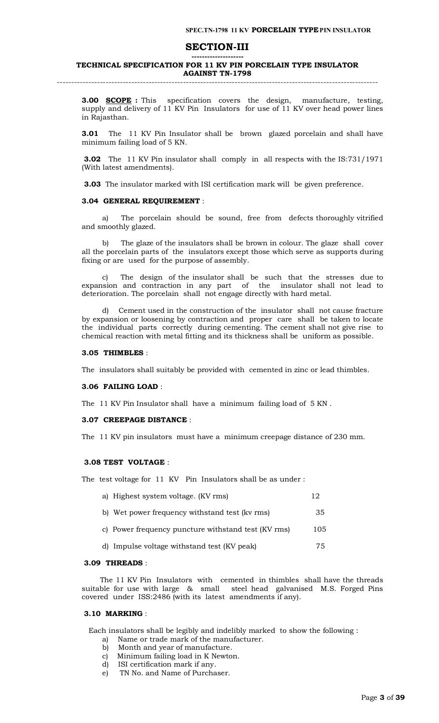# **SECTION-III**

#### **-------------------- TECHNICAL SPECIFICATION FOR 11 KV PIN PORCELAIN TYPE INSULATOR AGAINST TN-1798** ----------------------------------------------------------------------------------------------------------------

**3.00 SCOPE :** This specification covers the design, manufacture, testing, supply and delivery of 11 KV Pin Insulators for use of 11 KV over head power lines in Rajasthan.

**3.01** The 11 KV Pin Insulator shall be brown glazed porcelain and shall have minimum failing load of 5 KN.

**3.02** The 11 KV Pin insulator shall comply in all respects with the IS:731/1971 (With latest amendments).

**3.03** The insulator marked with ISI certification mark will be given preference.

#### **3.04 GENERAL REQUIREMENT** :

 a) The porcelain should be sound, free from defects thoroughly vitrified and smoothly glazed.

 b) The glaze of the insulators shall be brown in colour. The glaze shall cover all the porcelain parts of the insulators except those which serve as supports during fixing or are used for the purpose of assembly.

 c) The design of the insulator shall be such that the stresses due to expansion and contraction in any part of the insulator shall not lead to deterioration. The porcelain shall not engage directly with hard metal.

Cement used in the construction of the insulator shall not cause fracture by expansion or loosening by contraction and proper care shall be taken to locate the individual parts correctly during cementing. The cement shall not give rise to chemical reaction with metal fitting and its thickness shall be uniform as possible.

#### **3.05 THIMBLES** :

The insulators shall suitably be provided with cemented in zinc or lead thimbles.

#### **3.06 FAILING LOAD** :

The 11 KV Pin Insulator shall have a minimum failing load of 5 KN .

#### **3.07 CREEPAGE DISTANCE** :

The 11 KV pin insulators must have a minimum creepage distance of 230 mm.

#### **3.08 TEST VOLTAGE** :

The test voltage for 11 KV Pin Insulators shall be as under :

| a) Highest system voltage. (KV rms)                 | 12  |
|-----------------------------------------------------|-----|
| b) Wet power frequency withstand test (kv rms)      | 35  |
| c) Power frequency puncture withstand test (KV rms) | 105 |
| d) Impulse voltage withstand test (KV peak)         | 75  |
|                                                     |     |

#### **3.09 THREADS** :

 The 11 KV Pin Insulators with cemented in thimbles shall have the threads suitable for use with large & small steel head galvanised M.S. Forged Pins covered under ISS:2486 (with its latest amendments if any).

#### **3.10 MARKING** :

Each insulators shall be legibly and indelibly marked to show the following :

- a) Name or trade mark of the manufacturer.
- b) Month and year of manufacture.
- c) Minimum failing load in K Newton.
- d) ISI certification mark if any.
- e) TN No. and Name of Purchaser.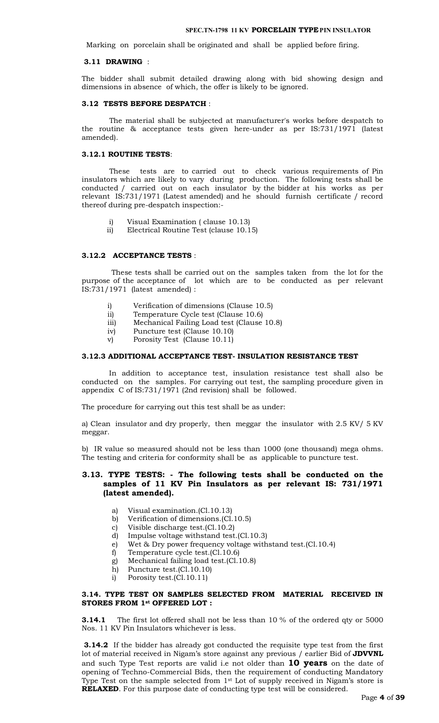#### **SPEC.TN-1798 11 KV PORCELAIN TYPEPIN INSULATOR**

Marking on porcelain shall be originated and shall be applied before firing.

#### **3.11 DRAWING** :

The bidder shall submit detailed drawing along with bid showing design and dimensions in absence of which, the offer is likely to be ignored.

# **3.12 TESTS BEFORE DESPATCH** :

 The material shall be subjected at manufacturer's works before despatch to the routine & acceptance tests given here-under as per IS:731/1971 (latest amended).

## **3.12.1 ROUTINE TESTS**:

 These tests are to carried out to check various requirements of Pin insulators which are likely to vary during production. The following tests shall be conducted / carried out on each insulator by the bidder at his works as per relevant IS:731/1971 (Latest amended) and he should furnish certificate / record thereof during pre-despatch inspection:-

- i) Visual Examination ( clause 10.13)
- ii) Electrical Routine Test (clause 10.15)

# **3.12.2 ACCEPTANCE TESTS** :

 These tests shall be carried out on the samples taken from the lot for the purpose of the acceptance of lot which are to be conducted as per relevant IS:731/1971 (latest amended) :

- i) Verification of dimensions (Clause 10.5)
- ii) Temperature Cycle test (Clause 10.6)
- iii) Mechanical Failing Load test (Clause 10.8)
- iv) Puncture test (Clause 10.10)
- v) Porosity Test (Clause 10.11)

#### **3.12.3 ADDITIONAL ACCEPTANCE TEST- INSULATION RESISTANCE TEST**

 In addition to acceptance test, insulation resistance test shall also be conducted on the samples. For carrying out test, the sampling procedure given in appendix C of IS:731/1971 (2nd revision) shall be followed.

The procedure for carrying out this test shall be as under:

a) Clean insulator and dry properly, then meggar the insulator with 2.5 KV/ 5 KV meggar.

b) IR value so measured should not be less than 1000 (one thousand) mega ohms. The testing and criteria for conformity shall be as applicable to puncture test.

# **3.13. TYPE TESTS: - The following tests shall be conducted on the samples of 11 KV Pin Insulators as per relevant IS: 731/1971 (latest amended).**

- a) Visual examination.(Cl.10.13)
- b) Verification of dimensions.(Cl.10.5)
- c) Visible discharge test.(Cl.10.2)
- d) Impulse voltage withstand test.(Cl.10.3)
- e) Wet & Dry power frequency voltage withstand test.(Cl.10.4)
- f) Temperature cycle test.(Cl.10.6)
- g) Mechanical failing load test.(Cl.10.8)
- h) Puncture test.(Cl.10.10)
- i) Porosity test.(Cl.10.11)

## **3.14. TYPE TEST ON SAMPLES SELECTED FROM MATERIAL RECEIVED IN STORES FROM 1st OFFERED LOT :**

**3.14.1** The first lot offered shall not be less than 10 % of the ordered qty or 5000 Nos. 11 KV Pin Insulators whichever is less.

**3.14.2** If the bidder has already got conducted the requisite type test from the first lot of material received in Nigam's store against any previous / earlier Bid of **JDVVNL** and such Type Test reports are valid i.e not older than **10 years** on the date of opening of Techno-Commercial Bids, then the requirement of conducting Mandatory Type Test on the sample selected from 1st Lot of supply received in Nigam's store is **RELAXED**. For this purpose date of conducting type test will be considered.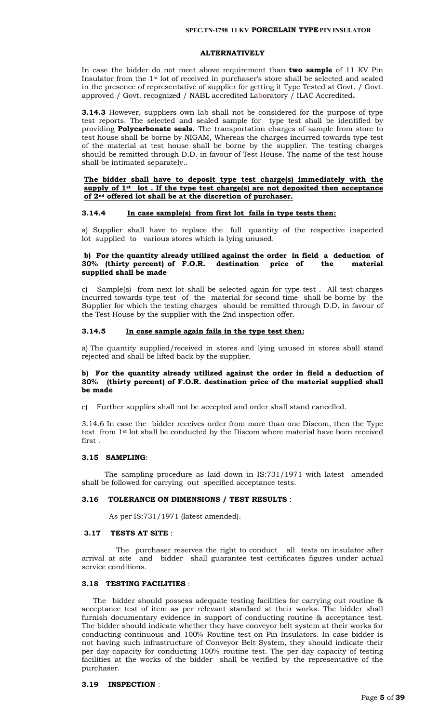#### **ALTERNATIVELY**

In case the bidder do not meet above requirement than **two sample** of 11 KV Pin Insulator from the 1st lot of received in purchaser's store shall be selected and sealed in the presence of representative of supplier for getting it Type Tested at Govt. / Govt. approved / Govt. recognized / NABL accredited Laboratory / ILAC Accredited**.**

**3.14.3** However, suppliers own lab shall not be considered for the purpose of type test reports. The selected and sealed sample for type test shall be identified by providing **Polycarbonate seals.** The transportation charges of sample from store to test house shall be borne by NIGAM, Whereas the charges incurred towards type test of the material at test house shall be borne by the supplier. The testing charges should be remitted through D.D. in favour of Test House. The name of the test house shall be intimated separately..

#### **The bidder shall have to deposit type test charge(s) immediately with the supply of 1st lot . If the type test charge(s) are not deposited then acceptance of 2nd offered lot shall be at the discretion of purchaser.**

#### **3.14.4 In case sample(s) from first lot fails in type tests then:**

a) Supplier shall have to replace the full quantity of the respective inspected lot supplied to various stores which is lying unused.

## **b) For the quantity already utilized against the order in field a deduction of 30% (thirty percent) of F.O.R. destination price of the material supplied shall be made**

c) Sample(s) from next lot shall be selected again for type test . All test charges incurred towards type test of the material for second time shall be borne by the Supplier for which the testing charges should be remitted through D.D. in favour of the Test House by the supplier with the 2nd inspection offer.

#### **3.14.5 In case sample again fails in the type test then:**

a) The quantity supplied/received in stores and lying unused in stores shall stand rejected and shall be lifted back by the supplier.

### **b) For the quantity already utilized against the order in field a deduction of 30% (thirty percent) of F.O.R. destination price of the material supplied shall be made**

c) Further supplies shall not be accepted and order shall stand cancelled.

3.14.6 In case the bidder receives order from more than one Discom, then the Type test from 1st lot shall be conducted by the Discom where material have been received first .

#### **3.15 SAMPLING**:

 The sampling procedure as laid down in IS:731/1971 with latest amended shall be followed for carrying out specified acceptance tests.

#### **3.16 TOLERANCE ON DIMENSIONS / TEST RESULTS** :

As per IS:731/1971 (latest amended).

#### **3.17 TESTS AT SITE** :

 The purchaser reserves the right to conduct all tests on insulator after arrival at site and bidder shall guarantee test certificates figures under actual service conditions.

#### **3.18 TESTING FACILITIES** :

 The bidder should possess adequate testing facilities for carrying out routine & acceptance test of item as per relevant standard at their works. The bidder shall furnish documentary evidence in support of conducting routine & acceptance test. The bidder should indicate whether they have conveyor belt system at their works for conducting continuous and 100% Routine test on Pin Insulators. In case bidder is not having such infrastructure of Conveyor Belt System, they should indicate their per day capacity for conducting 100% routine test. The per day capacity of testing facilities at the works of the bidder shall be verified by the representative of the purchaser.

# **3.19 INSPECTION** :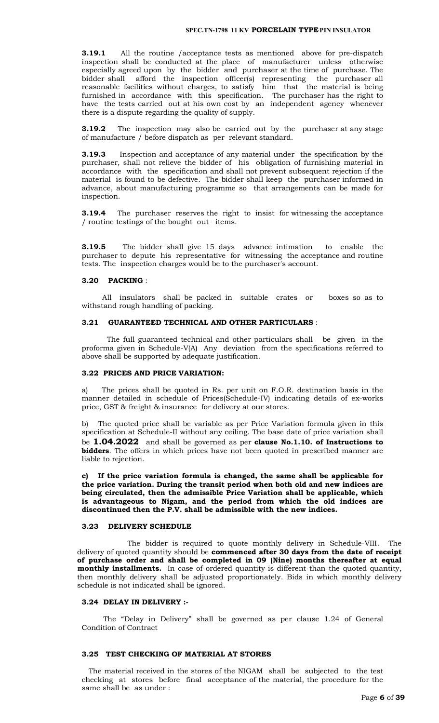**3.19.1** All the routine /acceptance tests as mentioned above for pre-dispatch inspection shall be conducted at the place of manufacturer unless otherwise especially agreed upon by the bidder and purchaser at the time of purchase. The bidder shall afford the inspection officer(s) representing the purchaser all reasonable facilities without charges, to satisfy him that the material is being furnished in accordance with this specification. The purchaser has the right to have the tests carried out at his own cost by an independent agency whenever there is a dispute regarding the quality of supply.

**3.19.2** The inspection may also be carried out by the purchaser at any stage of manufacture / before dispatch as per relevant standard.

**3.19.3** Inspection and acceptance of any material under the specification by the purchaser, shall not relieve the bidder of his obligation of furnishing material in accordance with the specification and shall not prevent subsequent rejection if the material is found to be defective. The bidder shall keep the purchaser informed in advance, about manufacturing programme so that arrangements can be made for inspection.

**3.19.4** The purchaser reserves the right to insist for witnessing the acceptance / routine testings of the bought out items.

**3.19.5** The bidder shall give 15 days advance intimation to enable the purchaser to depute his representative for witnessing the acceptance and routine tests. The inspection charges would be to the purchaser's account.

#### **3.20 PACKING** :

 All insulators shall be packed in suitable crates or boxes so as to withstand rough handling of packing.

#### **3.21 GUARANTEED TECHNICAL AND OTHER PARTICULARS** :

 The full guaranteed technical and other particulars shall be given in the proforma given in Schedule-V(A) Any deviation from the specifications referred to above shall be supported by adequate justification.

## **3.22 PRICES AND PRICE VARIATION:**

a) The prices shall be quoted in Rs. per unit on F.O.R. destination basis in the manner detailed in schedule of Prices(Schedule-IV) indicating details of ex-works price, GST & freight & insurance for delivery at our stores.

The quoted price shall be variable as per Price Variation formula given in this specification at Schedule-II without any ceiling. The base date of price variation shall be **1.04.2022** and shall be governed as per **clause No.1.10. of Instructions to bidders**. The offers in which prices have not been quoted in prescribed manner are liable to rejection.

**c) If the price variation formula is changed, the same shall be applicable for the price variation. During the transit period when both old and new indices are being circulated, then the admissible Price Variation shall be applicable, which is advantageous to Nigam, and the period from which the old indices are discontinued then the P.V. shall be admissible with the new indices.**

#### **3.23 DELIVERY SCHEDULE**

 The bidder is required to quote monthly delivery in Schedule-VIII. The delivery of quoted quantity should be **commenced after 30 days from the date of receipt of purchase order and shall be completed in 09 (Nine) months thereafter at equal monthly installments.** In case of ordered quantity is different than the quoted quantity, then monthly delivery shall be adjusted proportionately. Bids in which monthly delivery schedule is not indicated shall be ignored.

#### **3.24 DELAY IN DELIVERY :-**

The "Delay in Delivery" shall be governed as per clause 1.24 of General Condition of Contract

# **3.25 TEST CHECKING OF MATERIAL AT STORES**

 The material received in the stores of the NIGAM shall be subjected to the test checking at stores before final acceptance of the material, the procedure for the same shall be as under :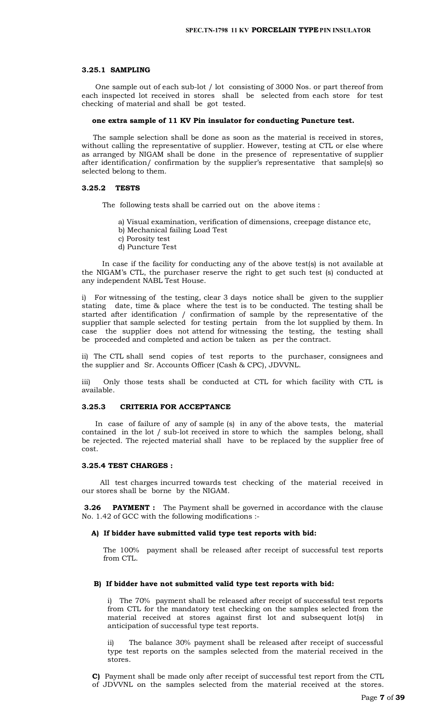#### **3.25.1 SAMPLING**

 One sample out of each sub-lot / lot consisting of 3000 Nos. or part thereof from each inspected lot received in stores shall be selected from each store for test checking of material and shall be got tested.

#### **one extra sample of 11 KV Pin insulator for conducting Puncture test.**

 The sample selection shall be done as soon as the material is received in stores, without calling the representative of supplier. However, testing at CTL or else where as arranged by NIGAM shall be done in the presence of representative of supplier after identification/ confirmation by the supplier's representative that sample(s) so selected belong to them.

#### **3.25.2 TESTS**

The following tests shall be carried out on the above items :

- a) Visual examination, verification of dimensions, creepage distance etc,
- b) Mechanical failing Load Test
- c) Porosity test
- d) Puncture Test

 In case if the facility for conducting any of the above test(s) is not available at the NIGAM's CTL, the purchaser reserve the right to get such test (s) conducted at any independent NABL Test House.

i) For witnessing of the testing, clear 3 days notice shall be given to the supplier stating date, time & place where the test is to be conducted. The testing shall be started after identification / confirmation of sample by the representative of the supplier that sample selected for testing pertain from the lot supplied by them. In case the supplier does not attend for witnessing the testing, the testing shall be proceeded and completed and action be taken as per the contract.

ii) The CTL shall send copies of test reports to the purchaser, consignees and the supplier and Sr. Accounts Officer (Cash & CPC), JDVVNL.

iii) Only those tests shall be conducted at CTL for which facility with CTL is available.

#### **3.25.3 CRITERIA FOR ACCEPTANCE**

 In case of failure of any of sample (s) in any of the above tests, the material contained in the lot / sub-lot received in store to which the samples belong, shall be rejected. The rejected material shall have to be replaced by the supplier free of cost.

#### **3.25.4 TEST CHARGES :**

 All test charges incurred towards test checking of the material received in our stores shall be borne by the NIGAM.

**3.26 PAYMENT :** The Payment shall be governed in accordance with the clause No. 1.42 of GCC with the following modifications :-

## **A) If bidder have submitted valid type test reports with bid:**

The 100% payment shall be released after receipt of successful test reports from CTL.

#### **B) If bidder have not submitted valid type test reports with bid:**

i) The 70% payment shall be released after receipt of successful test reports from CTL for the mandatory test checking on the samples selected from the material received at stores against first lot and subsequent lot(s) in anticipation of successful type test reports.

ii) The balance 30% payment shall be released after receipt of successful type test reports on the samples selected from the material received in the stores.

**C)** Payment shall be made only after receipt of successful test report from the CTL of JDVVNL on the samples selected from the material received at the stores.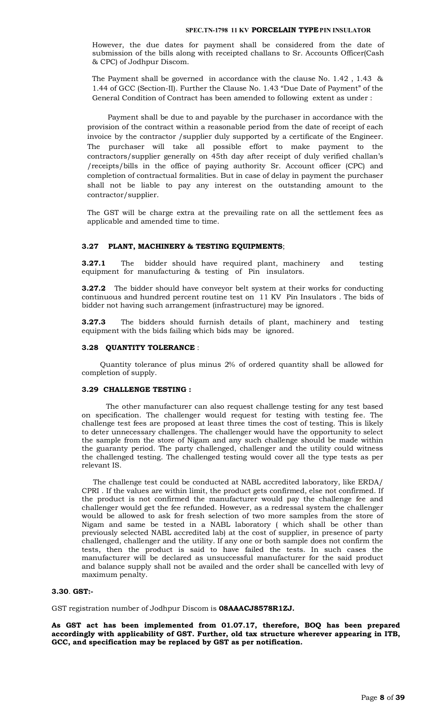However, the due dates for payment shall be considered from the date of submission of the bills along with receipted challans to Sr. Accounts Officer(Cash & CPC) of Jodhpur Discom.

 The Payment shall be governed in accordance with the clause No. 1.42 , 1.43 & 1.44 of GCC (Section-II). Further the Clause No. 1.43 "Due Date of Payment" of the General Condition of Contract has been amended to following extent as under :

 Payment shall be due to and payable by the purchaser in accordance with the provision of the contract within a reasonable period from the date of receipt of each invoice by the contractor /supplier duly supported by a certificate of the Engineer. The purchaser will take all possible effort to make payment to the contractors/supplier generally on 45th day after receipt of duly verified challan's /receipts/bills in the office of paying authority Sr. Account officer (CPC) and completion of contractual formalities. But in case of delay in payment the purchaser shall not be liable to pay any interest on the outstanding amount to the contractor/supplier.

The GST will be charge extra at the prevailing rate on all the settlement fees as applicable and amended time to time.

# **3.27 PLANT, MACHINERY & TESTING EQUIPMENTS**;

**3.27.1** The bidder should have required plant, machinery and testing equipment for manufacturing & testing of Pin insulators.

**3.27.2** The bidder should have conveyor belt system at their works for conducting continuous and hundred percent routine test on 11 KV Pin Insulators . The bids of bidder not having such arrangement (infrastructure) may be ignored.

**3.27.3** The bidders should furnish details of plant, machinery and testing equipment with the bids failing which bids may be ignored.

#### **3.28 QUANTITY TOLERANCE** :

 Quantity tolerance of plus minus 2% of ordered quantity shall be allowed for completion of supply.

#### **3.29 CHALLENGE TESTING :**

The other manufacturer can also request challenge testing for any test based on specification. The challenger would request for testing with testing fee. The challenge test fees are proposed at least three times the cost of testing. This is likely to deter unnecessary challenges. The challenger would have the opportunity to select the sample from the store of Nigam and any such challenge should be made within the guaranty period. The party challenged, challenger and the utility could witness the challenged testing. The challenged testing would cover all the type tests as per relevant IS.

 The challenge test could be conducted at NABL accredited laboratory, like ERDA/ CPRI . If the values are within limit, the product gets confirmed, else not confirmed. If the product is not confirmed the manufacturer would pay the challenge fee and challenger would get the fee refunded. However, as a redressal system the challenger would be allowed to ask for fresh selection of two more samples from the store of Nigam and same be tested in a NABL laboratory ( which shall be other than previously selected NABL accredited lab) at the cost of supplier, in presence of party challenged, challenger and the utility. If any one or both sample does not confirm the tests, then the product is said to have failed the tests. In such cases the manufacturer will be declared as unsuccessful manufacturer for the said product and balance supply shall not be availed and the order shall be cancelled with levy of maximum penalty.

#### **3.30**. **GST:-**

GST registration number of Jodhpur Discom is **08AAACJ8578R1ZJ.**

**As GST act has been implemented from 01.07.17, therefore, BOQ has been prepared accordingly with applicability of GST. Further, old tax structure wherever appearing in ITB, GCC, and specification may be replaced by GST as per notification.**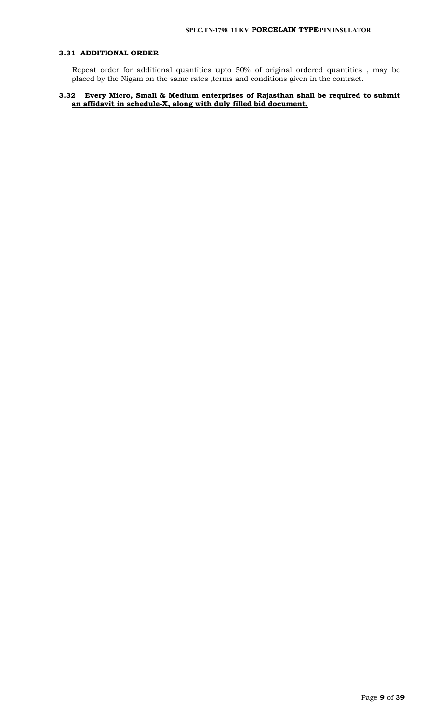# **3.31 ADDITIONAL ORDER**

 Repeat order for additional quantities upto 50% of original ordered quantities , may be placed by the Nigam on the same rates ,terms and conditions given in the contract.

# **3.32 Every Micro, Small & Medium enterprises of Rajasthan shall be required to submit an affidavit in schedule-X, along with duly filled bid document.**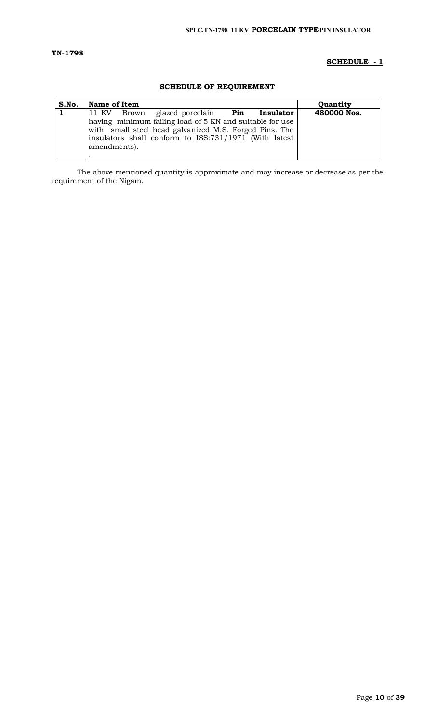# **TN-1798**

# **SCHEDULE - 1**

# **SCHEDULE OF REQUIREMENT**

| S.No. | Name of Item                                                                                                                                                                                |           | <b>Ouantity</b> |
|-------|---------------------------------------------------------------------------------------------------------------------------------------------------------------------------------------------|-----------|-----------------|
|       | 11 KV Brown<br>glazed porcelain Pin                                                                                                                                                         | Insulator | 480000 Nos.     |
|       | having minimum failing load of 5 KN and suitable for use<br>with small steel head galvanized M.S. Forged Pins. The<br>insulators shall conform to ISS:731/1971 (With latest<br>amendments). |           |                 |

The above mentioned quantity is approximate and may increase or decrease as per the requirement of the Nigam.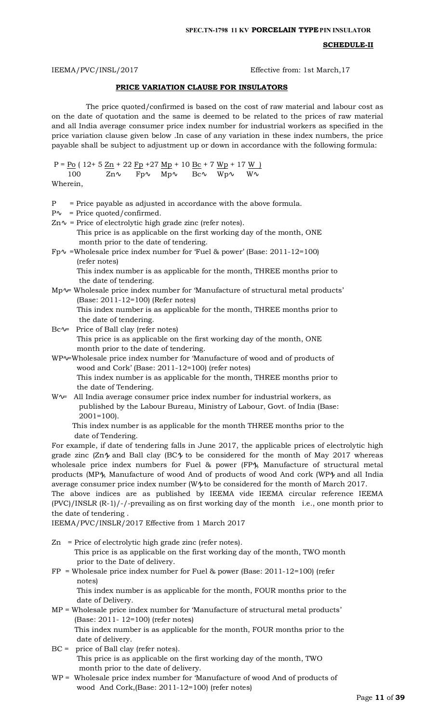#### **SCHEDULE-II**

IEEMA/PVC/INSL/2017 Effective from: 1st March,17

#### **PRICE VARIATION CLAUSE FOR INSULATORS**

 The price quoted/confirmed is based on the cost of raw material and labour cost as on the date of quotation and the same is deemed to be related to the prices of raw material and all India average consumer price index number for industrial workers as specified in the price variation clause given below .In case of any variation in these index numbers, the price payable shall be subject to adjustment up or down in accordance with the following formula:

P =  $\underline{Po}$  ( 12+ 5  $\underline{Zn}$  + 22  $\underline{Fp}$  +27  $\underline{Mp}$  + 10  $\underline{Bc}$  + 7  $\underline{Wp}$  + 17  $\underline{W}$  ) 100 Zn Fp Mp Bc Wp W Wherein,

- 
- $P =$  Price payable as adjusted in accordance with the above formula.
- P = Price quoted/confirmed.
- Zn = Price of electrolytic high grade zinc (refer notes). This price is as applicable on the first working day of the month, ONE month prior to the date of tendering.
- Fp =Wholesale price index number for 'Fuel & power' (Base: 2011-12=100) (refer notes) This index number is as applicable for the month, THREE months prior to the date of tendering.
- Mp = Wholesale price index number for 'Manufacture of structural metal products' (Base: 2011-12=100) (Refer notes) This index number is as applicable for the month, THREE months prior to the date of tendering.
- Bc = Price of Ball clay (refer notes) This price is as applicable on the first working day of the month, ONE month prior to the date of tendering.
- WP =Wholesale price index number for 'Manufacture of wood and of products of wood and Cork' (Base: 2011-12=100) (refer notes) This index number is as applicable for the month, THREE months prior to the date of Tendering.
- W = All India average consumer price index number for industrial workers, as published by the Labour Bureau, Ministry of Labour, Govt. of India (Base: 2001=100).

 This index number is as applicable for the month THREE months prior to the date of Tendering.

For example, if date of tendering falls in June 2017, the applicable prices of electrolytic high grade zinc  $(Zn)$  and Ball clay  $(BC)$  to be considered for the month of May 2017 whereas wholesale price index numbers for Fuel & power (FP ), Manufacture of structural metal products (MP ), Manufacture of wood And of products of wood And cork (WP ) and all India average consumer price index number (W ) to be considered for the month of March 2017. The above indices are as published by IEEMA vide IEEMA circular reference IEEMA (PVC)/INSLR (R-1)/-/-prevailing as on first working day of the month i.e., one month prior to

the date of tendering .

IEEMA/PVC/INSLR/2017 Effective from 1 March 2017

Zn = Price of electrolytic high grade zinc (refer notes).

 This price is as applicable on the first working day of the month, TWO month prior to the Date of delivery.

FP = Wholesale price index number for Fuel & power (Base: 2011-12=100) (refer notes)

 This index number is as applicable for the month, FOUR months prior to the date of Delivery.

- MP = Wholesale price index number for 'Manufacture of structural metal products' (Base: 2011- 12=100) (refer notes) This index number is as applicable for the month, FOUR months prior to the date of delivery.
- BC = price of Ball clay (refer notes). This price is as applicable on the first working day of the month, TWO month prior to the date of delivery.
- WP = Wholesale price index number for 'Manufacture of wood And of products of wood And Cork,(Base: 2011-12=100) (refer notes)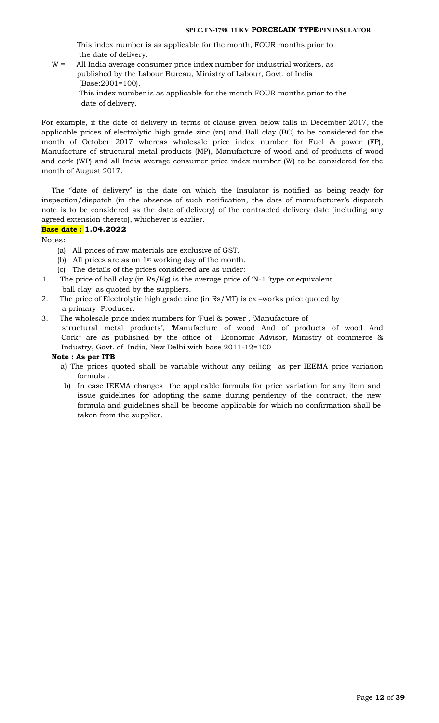This index number is as applicable for the month, FOUR months prior to the date of delivery.

- W = All India average consumer price index number for industrial workers, as published by the Labour Bureau, Ministry of Labour, Govt. of India (Base:2001=100).
	- This index number is as applicable for the month FOUR months prior to the date of delivery.

For example, if the date of delivery in terms of clause given below falls in December 2017, the applicable prices of electrolytic high grade zinc (zn) and Ball clay (BC) to be considered for the month of October 2017 whereas wholesale price index number for Fuel & power (FP), Manufacture of structural metal products (MP), Manufacture of wood and of products of wood and cork (WP) and all India average consumer price index number (W) to be considered for the month of August 2017.

The "date of delivery" is the date on which the Insulator is notified as being ready for inspection/dispatch (in the absence of such notification, the date of manufacturer's dispatch note is to be considered as the date of delivery) of the contracted delivery date (including any agreed extension thereto), whichever is earlier.

# **Base date : 1.04.2022**

Notes:

- (a) All prices of raw materials are exclusive of GST.
- (b) All prices are as on 1st working day of the month.
- (c) The details of the prices considered are as under:
- 1. The price of ball clay (in Rs/Kg) is the average price of 'N-1 'type or equivalent ball clay as quoted by the suppliers.
- 2. The price of Electrolytic high grade zinc (in Rs/MT) is ex –works price quoted by a primary Producer.
- 3. The wholesale price index numbers for 'Fuel & power , 'Manufacture of structural metal products', 'Manufacture of wood And of products of wood And Cork'' are as published by the office of Economic Advisor, Ministry of commerce & Industry, Govt. of India, New Delhi with base 2011-12=100

#### **Note : As per ITB**

- a) The prices quoted shall be variable without any ceiling as per IEEMA price variation formula .
- b) In case IEEMA changes the applicable formula for price variation for any item and issue guidelines for adopting the same during pendency of the contract, the new formula and guidelines shall be become applicable for which no confirmation shall be taken from the supplier.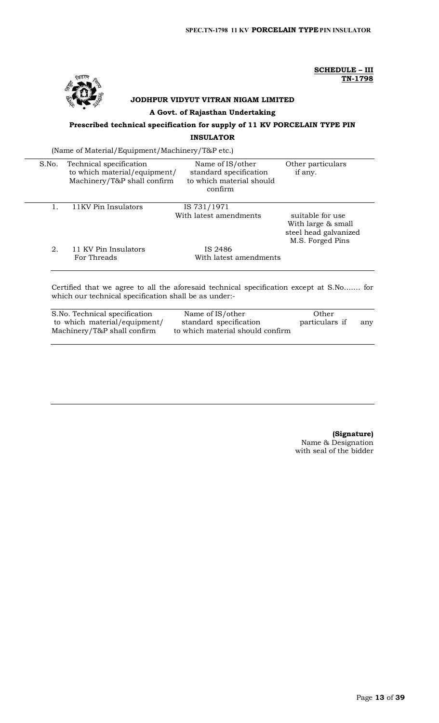

 **SCHEDULE – III TN-1798**

# **JODHPUR VIDYUT VITRAN NIGAM LIMITED**

## **A Govt. of Rajasthan Undertaking**

# **Prescribed technical specification for supply of 11 KV PORCELAIN TYPE PIN INSULATOR**

(Name of Material/Equipment/Machinery/T&P etc.)

| S.No. | Technical specification<br>to which material/equipment/<br>Machinery/T&P shall confirm | Name of IS/other<br>standard specification<br>to which material should<br>confirm | Other particulars<br>if any.                                                        |
|-------|----------------------------------------------------------------------------------------|-----------------------------------------------------------------------------------|-------------------------------------------------------------------------------------|
|       | 11KV Pin Insulators                                                                    | IS 731/1971                                                                       |                                                                                     |
|       |                                                                                        | With latest amendments                                                            | suitable for use<br>With large & small<br>steel head galvanized<br>M.S. Forged Pins |
| 2.    | 11 KV Pin Insulators                                                                   | IS 2486                                                                           |                                                                                     |
|       | For Threads                                                                            | With latest amendments                                                            |                                                                                     |
|       |                                                                                        |                                                                                   |                                                                                     |

Certified that we agree to all the aforesaid technical specification except at S.No……. for which our technical specification shall be as under:-

| S.No. Technical specification | Name of IS/other                 | Other          |     |
|-------------------------------|----------------------------------|----------------|-----|
| to which material/equipment/  | standard specification           | particulars if | any |
| Machinery/T&P shall confirm   | to which material should confirm |                |     |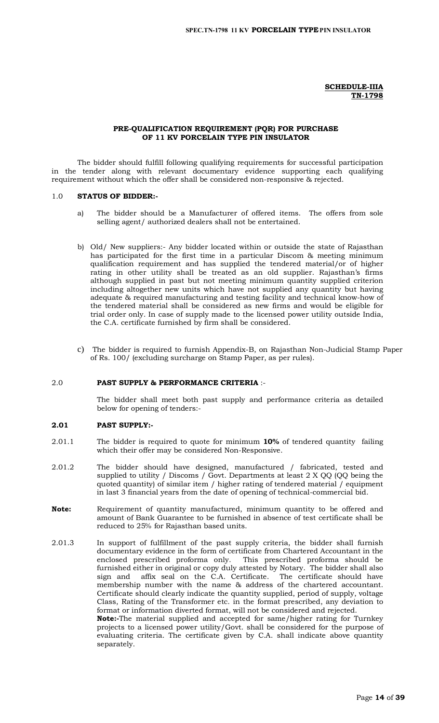**SCHEDULE-IIIA TN-1798**

### **PRE-QUALIFICATION REQUIREMENT (PQR) FOR PURCHASE OF 11 KV PORCELAIN TYPE PIN INSULATOR**

The bidder should fulfill following qualifying requirements for successful participation in the tender along with relevant documentary evidence supporting each qualifying requirement without which the offer shall be considered non-responsive & rejected.

#### 1.0 **STATUS OF BIDDER:-**

- a) The bidder should be a Manufacturer of offered items. The offers from sole selling agent/ authorized dealers shall not be entertained.
- b) Old/ New suppliers:- Any bidder located within or outside the state of Rajasthan has participated for the first time in a particular Discom & meeting minimum qualification requirement and has supplied the tendered material/or of higher rating in other utility shall be treated as an old supplier. Rajasthan's firms although supplied in past but not meeting minimum quantity supplied criterion including altogether new units which have not supplied any quantity but having adequate & required manufacturing and testing facility and technical know-how of the tendered material shall be considered as new firms and would be eligible for trial order only. In case of supply made to the licensed power utility outside India, the C.A. certificate furnished by firm shall be considered.
- c) The bidder is required to furnish Appendix-B, on Rajasthan Non-Judicial Stamp Paper of Rs. 100/ (excluding surcharge on Stamp Paper, as per rules).

#### 2.0 **PAST SUPPLY & PERFORMANCE CRITERIA** :-

The bidder shall meet both past supply and performance criteria as detailed below for opening of tenders:-

# **2.01 PAST SUPPLY:-**

- 2.01.1 The bidder is required to quote for minimum **10%** of tendered quantity failing which their offer may be considered Non-Responsive.
- 2.01.2 The bidder should have designed, manufactured / fabricated, tested and supplied to utility / Discoms / Govt. Departments at least 2 X QQ (QQ being the quoted quantity) of similar item / higher rating of tendered material / equipment in last 3 financial years from the date of opening of technical-commercial bid.
- **Note:** Requirement of quantity manufactured, minimum quantity to be offered and amount of Bank Guarantee to be furnished in absence of test certificate shall be reduced to 25% for Rajasthan based units.
- 2.01.3 In support of fulfillment of the past supply criteria, the bidder shall furnish documentary evidence in the form of certificate from Chartered Accountant in the enclosed prescribed proforma only. This prescribed proforma should be furnished either in original or copy duly attested by Notary. The bidder shall also sign and affix seal on the C.A. Certificate. The certificate should have membership number with the name & address of the chartered accountant. Certificate should clearly indicate the quantity supplied, period of supply, voltage Class, Rating of the Transformer etc. in the format prescribed, any deviation to format or information diverted format, will not be considered and rejected. **Note:-**The material supplied and accepted for same/higher rating for Turnkey projects to a licensed power utility/Govt. shall be considered for the purpose of evaluating criteria. The certificate given by C.A. shall indicate above quantity separately.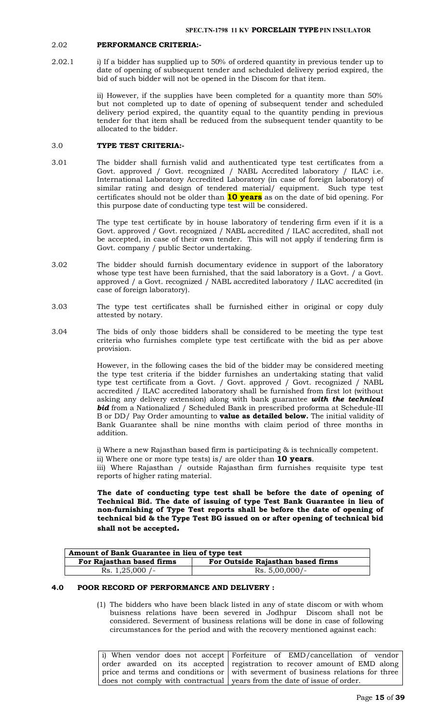#### 2.02 **PERFORMANCE CRITERIA:-**

2.02.1 i) If a bidder has supplied up to 50% of ordered quantity in previous tender up to date of opening of subsequent tender and scheduled delivery period expired, the bid of such bidder will not be opened in the Discom for that item.

> ii) However, if the supplies have been completed for a quantity more than 50% but not completed up to date of opening of subsequent tender and scheduled delivery period expired, the quantity equal to the quantity pending in previous tender for that item shall be reduced from the subsequent tender quantity to be allocated to the bidder.

# 3.0 **TYPE TEST CRITERIA:-**

3.01 The bidder shall furnish valid and authenticated type test certificates from a Govt. approved / Govt. recognized / NABL Accredited laboratory / ILAC i.e. International Laboratory Accredited Laboratory (in case of foreign laboratory) of similar rating and design of tendered material/ equipment. Such type test certificates should not be older than **10 years** as on the date of bid opening. For this purpose date of conducting type test will be considered.

> The type test certificate by in house laboratory of tendering firm even if it is a Govt. approved / Govt. recognized / NABL accredited / ILAC accredited, shall not be accepted, in case of their own tender. This will not apply if tendering firm is Govt. company / public Sector undertaking.

- 3.02 The bidder should furnish documentary evidence in support of the laboratory whose type test have been furnished, that the said laboratory is a Govt. / a Govt. approved / a Govt. recognized / NABL accredited laboratory / ILAC accredited (in case of foreign laboratory).
- 3.03 The type test certificates shall be furnished either in original or copy duly attested by notary.
- 3.04 The bids of only those bidders shall be considered to be meeting the type test criteria who furnishes complete type test certificate with the bid as per above provision.

However, in the following cases the bid of the bidder may be considered meeting the type test criteria if the bidder furnishes an undertaking stating that valid type test certificate from a Govt. / Govt. approved / Govt. recognized / NABL accredited / ILAC accredited laboratory shall be furnished from first lot (without asking any delivery extension) along with bank guarantee *with the technical bid* from a Nationalized / Scheduled Bank in prescribed proforma at Schedule-III B or DD/ Pay Order amounting to **value as detailed below.** The initial validity of Bank Guarantee shall be nine months with claim period of three months in addition.

i) Where a new Rajasthan based firm is participating & is technically competent.

ii) Where one or more type tests) is/ are older than **10 years**.

iii) Where Rajasthan / outside Rajasthan firm furnishes requisite type test reports of higher rating material.

**The date of conducting type test shall be before the date of opening of Technical Bid. The date of issuing of type Test Bank Guarantee in lieu of non-furnishing of Type Test reports shall be before the date of opening of technical bid & the Type Test BG issued on or after opening of technical bid shall not be accepted.**

| Amount of Bank Guarantee in lieu of type test |                                   |  |
|-----------------------------------------------|-----------------------------------|--|
| For Rajasthan based firms                     | For Outside Rajasthan based firms |  |
| Rs. $1,25,000$ /-                             | $Rs. 5,00,000/-$                  |  |

# **4.0 POOR RECORD OF PERFORMANCE AND DELIVERY :**

(1) The bidders who have been black listed in any of state discom or with whom buisness relations have been severed in Jodhpur Discom shall not be considered. Severment of business relations will be done in case of following circumstances for the period and with the recovery mentioned against each:

i) When vendor does not accept order awarded on its accepted price and terms and conditions or does not comply with contractual years from the date of issue of order. Forfeiture of EMD/cancellation of vendor registration to recover amount of EMD along with severment of business relations for three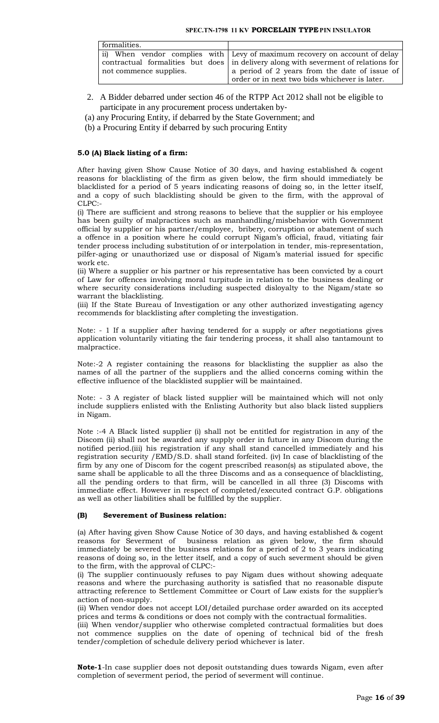| formalities.           |                                                                                    |
|------------------------|------------------------------------------------------------------------------------|
|                        | ii) When vendor complies with Levy of maximum recovery on account of delay         |
|                        | contractual formalities but does in delivery along with severment of relations for |
| not commence supplies. | a period of 2 years from the date of issue of                                      |
|                        | order or in next two bids whichever is later.                                      |

- 2. A Bidder debarred under section 46 of the RTPP Act 2012 shall not be eligible to participate in any procurement process undertaken by‐
- (a) any Procuring Entity, if debarred by the State Government; and
- (b) a Procuring Entity if debarred by such procuring Entity

# **5.0 (A) Black listing of a firm:**

After having given Show Cause Notice of 30 days, and having established & cogent reasons for blacklisting of the firm as given below, the firm should immediately be blacklisted for a period of 5 years indicating reasons of doing so, in the letter itself, and a copy of such blacklisting should be given to the firm, with the approval of CLPC:-

(i) There are sufficient and strong reasons to believe that the supplier or his employee has been guilty of malpractices such as manhandling/misbehavior with Government official by supplier or his partner/employee, bribery, corruption or abatement of such a offence in a position where he could corrupt Nigam's official, fraud, vitiating fair tender process including substitution of or interpolation in tender, mis-representation, pilfer-aging or unauthorized use or disposal of Nigam's material issued for specific work etc.

(ii) Where a supplier or his partner or his representative has been convicted by a court of Law for offences involving moral turpitude in relation to the business dealing or where security considerations including suspected disloyalty to the Nigam/state so warrant the blacklisting.

(iii) If the State Bureau of Investigation or any other authorized investigating agency recommends for blacklisting after completing the investigation.

Note: - 1 If a supplier after having tendered for a supply or after negotiations gives application voluntarily vitiating the fair tendering process, it shall also tantamount to malpractice.

Note:-2 A register containing the reasons for blacklisting the supplier as also the names of all the partner of the suppliers and the allied concerns coming within the effective influence of the blacklisted supplier will be maintained.

Note: - 3 A register of black listed supplier will be maintained which will not only include suppliers enlisted with the Enlisting Authority but also black listed suppliers in Nigam.

Note :-4 A Black listed supplier (i) shall not be entitled for registration in any of the Discom (ii) shall not be awarded any supply order in future in any Discom during the notified period.(iii) his registration if any shall stand cancelled immediately and his registration security /EMD/S.D. shall stand forfeited. (iv) In case of blacklisting of the firm by any one of Discom for the cogent prescribed reason(s) as stipulated above, the same shall be applicable to all the three Discoms and as a consequence of blacklisting, all the pending orders to that firm, will be cancelled in all three (3) Discoms with immediate effect. However in respect of completed/executed contract G.P. obligations as well as other liabilities shall be fulfilled by the supplier.

#### **(B) Severement of Business relation:**

(a) After having given Show Cause Notice of 30 days, and having established & cogent reasons for Severment of business relation as given below, the firm should immediately be severed the business relations for a period of 2 to 3 years indicating reasons of doing so, in the letter itself, and a copy of such severment should be given to the firm, with the approval of CLPC:-

(i) The supplier continuously refuses to pay Nigam dues without showing adequate reasons and where the purchasing authority is satisfied that no reasonable dispute attracting reference to Settlement Committee or Court of Law exists for the supplier's action of non-supply.

(ii) When vendor does not accept LOI/detailed purchase order awarded on its accepted prices and terms & conditions or does not comply with the contractual formalities.

(iii) When vendor/supplier who otherwise completed contractual formalities but does not commence supplies on the date of opening of technical bid of the fresh tender/completion of schedule delivery period whichever is later.

**Note-1**-In case supplier does not deposit outstanding dues towards Nigam, even after completion of severment period, the period of severment will continue.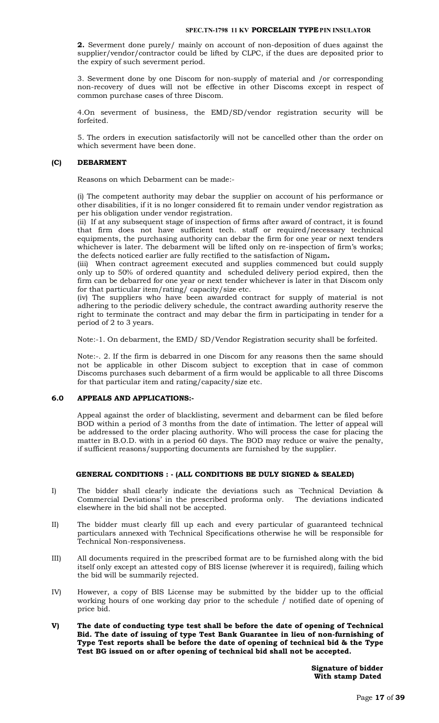**2.** Severment done purely/ mainly on account of non-deposition of dues against the supplier/vendor/contractor could be lifted by CLPC, if the dues are deposited prior to the expiry of such severment period.

3. Severment done by one Discom for non-supply of material and /or corresponding non-recovery of dues will not be effective in other Discoms except in respect of common purchase cases of three Discom.

4.On severment of business, the EMD/SD/vendor registration security will be forfeited.

5. The orders in execution satisfactorily will not be cancelled other than the order on which severment have been done.

# **(C) DEBARMENT**

Reasons on which Debarment can be made:-

(i) The competent authority may debar the supplier on account of his performance or other disabilities, if it is no longer considered fit to remain under vendor registration as per his obligation under vendor registration.

(ii) If at any subsequent stage of inspection of firms after award of contract, it is found that firm does not have sufficient tech. staff or required/necessary technical equipments, the purchasing authority can debar the firm for one year or next tenders whichever is later. The debarment will be lifted only on re-inspection of firm's works; the defects noticed earlier are fully rectified to the satisfaction of Nigam**.** 

(iii) When contract agreement executed and supplies commenced but could supply only up to 50% of ordered quantity and scheduled delivery period expired, then the firm can be debarred for one year or next tender whichever is later in that Discom only for that particular item/rating/ capacity/size etc.

(iv) The suppliers who have been awarded contract for supply of material is not adhering to the periodic delivery schedule, the contract awarding authority reserve the right to terminate the contract and may debar the firm in participating in tender for a period of 2 to 3 years.

Note:-1. On debarment, the EMD/ SD/Vendor Registration security shall be forfeited.

Note:-. 2. If the firm is debarred in one Discom for any reasons then the same should not be applicable in other Discom subject to exception that in case of common Discoms purchases such debarment of a firm would be applicable to all three Discoms for that particular item and rating/capacity/size etc.

## **6.0 APPEALS AND APPLICATIONS:-**

Appeal against the order of blacklisting, severment and debarment can be filed before BOD within a period of 3 months from the date of intimation. The letter of appeal will be addressed to the order placing authority. Who will process the case for placing the matter in B.O.D. with in a period 60 days. The BOD may reduce or waive the penalty, if sufficient reasons/supporting documents are furnished by the supplier.

#### **GENERAL CONDITIONS : - (ALL CONDITIONS BE DULY SIGNED & SEALED)**

- I) The bidder shall clearly indicate the deviations such as `Technical Deviation & Commercial Deviations' in the prescribed proforma only. The deviations indicated elsewhere in the bid shall not be accepted.
- II) The bidder must clearly fill up each and every particular of guaranteed technical particulars annexed with Technical Specifications otherwise he will be responsible for Technical Non-responsiveness.
- III) All documents required in the prescribed format are to be furnished along with the bid itself only except an attested copy of BIS license (wherever it is required), failing which the bid will be summarily rejected.
- IV) However, a copy of BIS License may be submitted by the bidder up to the official working hours of one working day prior to the schedule / notified date of opening of price bid.
- **V) The date of conducting type test shall be before the date of opening of Technical Bid. The date of issuing of type Test Bank Guarantee in lieu of non-furnishing of Type Test reports shall be before the date of opening of technical bid & the Type Test BG issued on or after opening of technical bid shall not be accepted.**

**Signature of bidder With stamp Dated**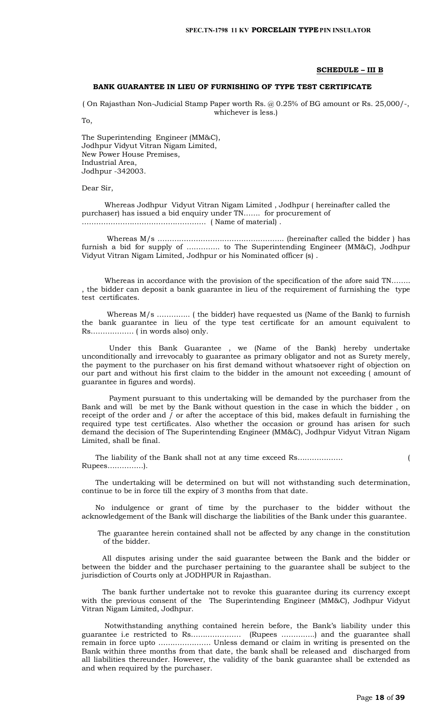#### **SCHEDULE – III B**

## **BANK GUARANTEE IN LIEU OF FURNISHING OF TYPE TEST CERTIFICATE**

( On Rajasthan Non-Judicial Stamp Paper worth Rs. @ 0.25% of BG amount or Rs. 25,000/-, whichever is less.)

To,

The Superintending Engineer (MM&C), Jodhpur Vidyut Vitran Nigam Limited, New Power House Premises, Industrial Area, Jodhpur -342003.

Dear Sir,

 Whereas Jodhpur Vidyut Vitran Nigam Limited , Jodhpur ( hereinafter called the purchaser) has issued a bid enquiry under TN……. for procurement of ……………………………………………. ( Name of material) .

 Whereas M/s …………………………………………….. (hereinafter called the bidder ) has furnish a bid for supply of ………….. to The Superintending Engineer (MM&C), Jodhpur Vidyut Vitran Nigam Limited, Jodhpur or his Nominated officer (s) .

 Whereas in accordance with the provision of the specification of the afore said TN…….. , the bidder can deposit a bank guarantee in lieu of the requirement of furnishing the type test certificates.

 Whereas M/s ………….. ( the bidder) have requested us (Name of the Bank) to furnish the bank guarantee in lieu of the type test certificate for an amount equivalent to Rs……………… ( in words also) only.

 Under this Bank Guarantee , we (Name of the Bank) hereby undertake unconditionally and irrevocably to guarantee as primary obligator and not as Surety merely, the payment to the purchaser on his first demand without whatsoever right of objection on our part and without his first claim to the bidder in the amount not exceeding ( amount of guarantee in figures and words).

 Payment pursuant to this undertaking will be demanded by the purchaser from the Bank and will be met by the Bank without question in the case in which the bidder , on receipt of the order and / or after the acceptace of this bid, makes default in furnishing the required type test certificates. Also whether the occasion or ground has arisen for such demand the decision of The Superintending Engineer (MM&C), Jodhpur Vidyut Vitran Nigam Limited, shall be final.

 The liability of the Bank shall not at any time exceed Rs………………. ( Rupees……………).

 The undertaking will be determined on but will not withstanding such determination, continue to be in force till the expiry of 3 months from that date.

 No indulgence or grant of time by the purchaser to the bidder without the acknowledgement of the Bank will discharge the liabilities of the Bank under this guarantee.

 The guarantee herein contained shall not be affected by any change in the constitution of the bidder.

 All disputes arising under the said guarantee between the Bank and the bidder or between the bidder and the purchaser pertaining to the guarantee shall be subject to the jurisdiction of Courts only at JODHPUR in Rajasthan.

 The bank further undertake not to revoke this guarantee during its currency except with the previous consent of the The Superintending Engineer (MM&C), Jodhpur Vidyut Vitran Nigam Limited, Jodhpur.

 Notwithstanding anything contained herein before, the Bank's liability under this guarantee i.e restricted to Rs………………… (Rupees …………..) and the guarantee shall remain in force upto …………………. Unless demand or claim in writing is presented on the Bank within three months from that date, the bank shall be released and discharged from all liabilities thereunder. However, the validity of the bank guarantee shall be extended as and when required by the purchaser.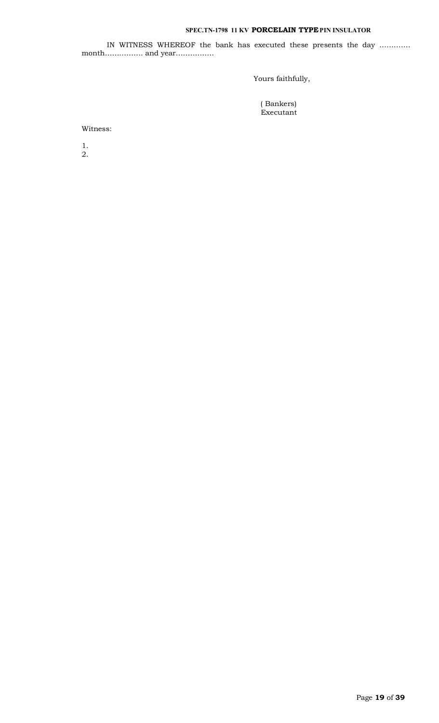IN WITNESS WHEREOF the bank has executed these presents the day …………. month……………. and year…………….

Yours faithfully,

 ( Bankers) Executant

Witness:

1. 2.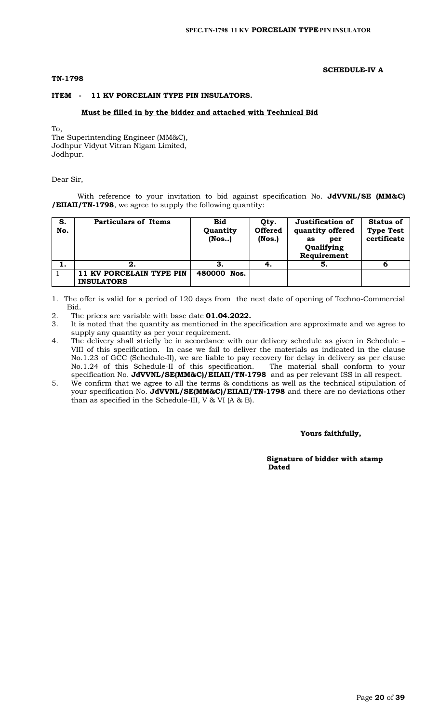# **TN-1798**

# **SCHEDULE-IV A**

# **ITEM - 11 KV PORCELAIN TYPE PIN INSULATORS.**

# **Must be filled in by the bidder and attached with Technical Bid**

To,

The Superintending Engineer (MM&C), Jodhpur Vidyut Vitran Nigam Limited, Jodhpur.

## Dear Sir,

With reference to your invitation to bid against specification No. **JdVVNL/SE (MM&C) /EIIAII/TN-1798**, we agree to supply the following quantity:

| S.<br>No. | <b>Particulars of Items</b>                   | <b>Bid</b><br>Quantity<br>$($ Nos $)$ | Qty.<br><b>Offered</b><br>$($ Nos. $)$ | Justification of<br>quantity offered<br>per<br>as<br>Qualifying<br>Requirement | <b>Status of</b><br><b>Type Test</b><br>certificate |
|-----------|-----------------------------------------------|---------------------------------------|----------------------------------------|--------------------------------------------------------------------------------|-----------------------------------------------------|
| 1.        | 2.                                            |                                       | ч.                                     | 5.                                                                             | 6                                                   |
|           | 11 KV PORCELAIN TYPE PIN<br><b>INSULATORS</b> | 480000 Nos.                           |                                        |                                                                                |                                                     |

- 1. The offer is valid for a period of 120 days from the next date of opening of Techno-Commercial Bid.
- 2. The prices are variable with base date **01.04.2022.**
- 3. It is noted that the quantity as mentioned in the specification are approximate and we agree to supply any quantity as per your requirement.
- 4. The delivery shall strictly be in accordance with our delivery schedule as given in Schedule VIII of this specification. In case we fail to deliver the materials as indicated in the clause No.1.23 of GCC (Schedule-II), we are liable to pay recovery for delay in delivery as per clause No.1.24 of this Schedule-II of this specification. The material shall conform to your specification No. **JdVVNL/SE(MM&C)/EIIAII/TN-1798** and as per relevant ISS in all respect.
- 5. We confirm that we agree to all the terms & conditions as well as the technical stipulation of your specification No. **JdVVNL/SE(MM&C)/EIIAII/TN-1798** and there are no deviations other than as specified in the Schedule-III, V & VI (A & B).

# **Yours faithfully,**

 **Signature of bidder with stamp**  *Dated* **Dated**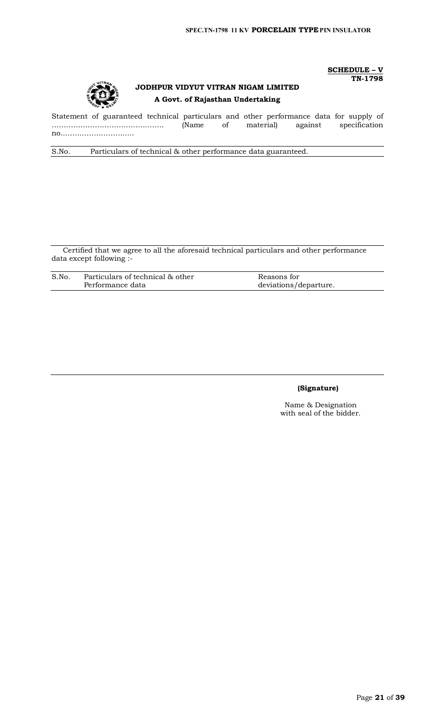**SCHEDULE – V**

**TN-1798**



# **JODHPUR VIDYUT VITRAN NIGAM LIMITED A Govt. of Rajasthan Undertaking**

Statement of guaranteed technical particulars and other performance data for supply of ……………………………………….. (Name of material) against specification no..………………………..

S.No. Particulars of technical & other performance data guaranteed.

Certified that we agree to all the aforesaid technical particulars and other performance data except following :-

| S.No. | Particulars of technical & other | Reasons for           |
|-------|----------------------------------|-----------------------|
|       | Performance data                 | deviations/departure. |

# **(Signature)**

Name & Designation with seal of the bidder.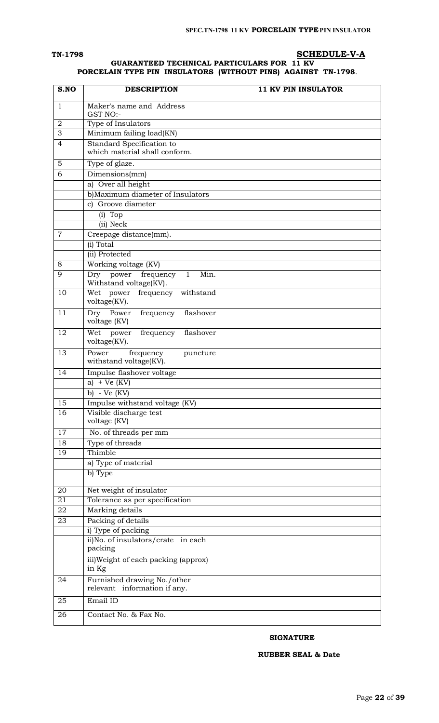# **TN-1798 SCHEDULE-V-A**

# **GUARANTEED TECHNICAL PARTICULARS FOR 11 KV PORCELAIN TYPE PIN INSULATORS (WITHOUT PINS) AGAINST TN-1798**.

| S.NO             | <b>DESCRIPTION</b>                                                          | <b>11 KV PIN INSULATOR</b> |
|------------------|-----------------------------------------------------------------------------|----------------------------|
| 1                | Maker's name and Address                                                    |                            |
|                  | GST NO:-                                                                    |                            |
| $\boldsymbol{2}$ | Type of Insulators                                                          |                            |
| 3                | Minimum failing load(KN)                                                    |                            |
| $\overline{4}$   | Standard Specification to<br>which material shall conform.                  |                            |
| 5                | Type of glaze.                                                              |                            |
| 6                | Dimensions(mm)                                                              |                            |
|                  | a) Over all height                                                          |                            |
|                  | b)Maximum diameter of Insulators                                            |                            |
|                  | c) Groove diameter                                                          |                            |
|                  | (i) Top                                                                     |                            |
|                  | (ii) Neck                                                                   |                            |
| $\overline{7}$   | Creepage distance(mm).                                                      |                            |
|                  | (i) Total                                                                   |                            |
|                  | (ii) Protected                                                              |                            |
| 8                | Working voltage (KV)                                                        |                            |
| 9                | frequency<br>Min.<br>power<br>$\mathbf{1}$<br>Dry<br>Withstand voltage(KV). |                            |
| 10               | Wet power<br>frequency<br>withstand<br>voltage(KV).                         |                            |
| $\overline{11}$  | Dry Power<br>frequency<br>flashover<br>voltage (KV)                         |                            |
| 12               | power<br>Wet<br>frequency<br>flashover<br>voltage(KV).                      |                            |
| 13               | Power<br>frequency<br>puncture<br>withstand voltage(KV).                    |                            |
| 14               | Impulse flashover voltage                                                   |                            |
|                  | a) + Ve $(KV)$                                                              |                            |
|                  | - Ve (KV)<br>b)                                                             |                            |
| 15               | Impulse withstand voltage (KV)                                              |                            |
| 16               | Visible discharge test<br>voltage (KV)                                      |                            |
| 17               | No. of threads per mm                                                       |                            |
| $\overline{18}$  | Type of threads                                                             |                            |
| 19               | Thimble                                                                     |                            |
|                  | a) Type of material                                                         |                            |
|                  | b) Type                                                                     |                            |
| 20               | Net weight of insulator                                                     |                            |
| 21               | Tolerance as per specification                                              |                            |
| 22               | Marking details                                                             |                            |
| $\overline{23}$  | Packing of details                                                          |                            |
|                  | i) Type of packing                                                          |                            |
|                  | ii)No. of insulators/crate in each<br>packing                               |                            |
|                  | iii) Weight of each packing (approx)<br>in Kg                               |                            |
| 24               | Furnished drawing No./other<br>relevant information if any.                 |                            |
| 25               | Email ID                                                                    |                            |
| 26               | Contact No. & Fax No.                                                       |                            |

# **SIGNATURE**

# **RUBBER SEAL & Date**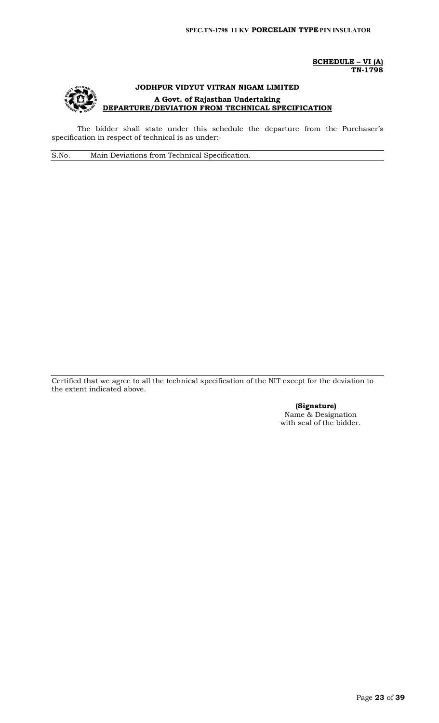**SCHEDULE – VI (A) TN-1798**



# **JODHPUR VIDYUT VITRAN NIGAM LIMITED A Govt. of Rajasthan Undertaking DEPARTURE/DEVIATION FROM TECHNICAL SPECIFICATION**

The bidder shall state under this schedule the departure from the Purchaser's specification in respect of technical is as under:-

S.No. Main Deviations from Technical Specification.

Certified that we agree to all the technical specification of the NIT except for the deviation to the extent indicated above.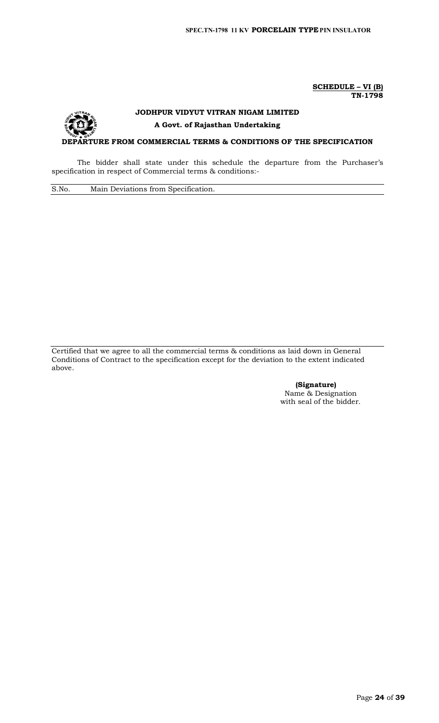**SCHEDULE – VI (B) TN-1798**



# **JODHPUR VIDYUT VITRAN NIGAM LIMITED A Govt. of Rajasthan Undertaking**

**DEPARTURE FROM COMMERCIAL TERMS & CONDITIONS OF THE SPECIFICATION**

The bidder shall state under this schedule the departure from the Purchaser's specification in respect of Commercial terms & conditions:-

S.No. Main Deviations from Specification.

Certified that we agree to all the commercial terms & conditions as laid down in General Conditions of Contract to the specification except for the deviation to the extent indicated above.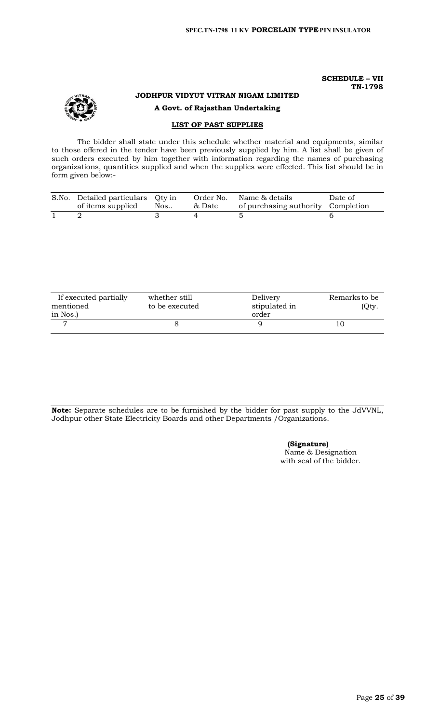## **SCHEDULE – VII TN-1798**



# **JODHPUR VIDYUT VITRAN NIGAM LIMITED A Govt. of Rajasthan Undertaking**

# **LIST OF PAST SUPPLIES**

The bidder shall state under this schedule whether material and equipments, similar to those offered in the tender have been previously supplied by him. A list shall be given of such orders executed by him together with information regarding the names of purchasing organizations, quantities supplied and when the supplies were effected. This list should be in form given below:-

| S.No. Detailed particulars Qty in<br>of items supplied Nos | & Date | Order No. Name & details<br>of purchasing authority Completion | Date of |
|------------------------------------------------------------|--------|----------------------------------------------------------------|---------|
|                                                            |        |                                                                |         |

| If executed partially<br>mentioned | whether still<br>to be executed | Delivery<br>stipulated in | Remarks to be<br>(Qty. |
|------------------------------------|---------------------------------|---------------------------|------------------------|
| in Nos.)                           |                                 | order                     |                        |
|                                    |                                 |                           |                        |

**Note:** Separate schedules are to be furnished by the bidder for past supply to the JdVVNL, Jodhpur other State Electricity Boards and other Departments /Organizations.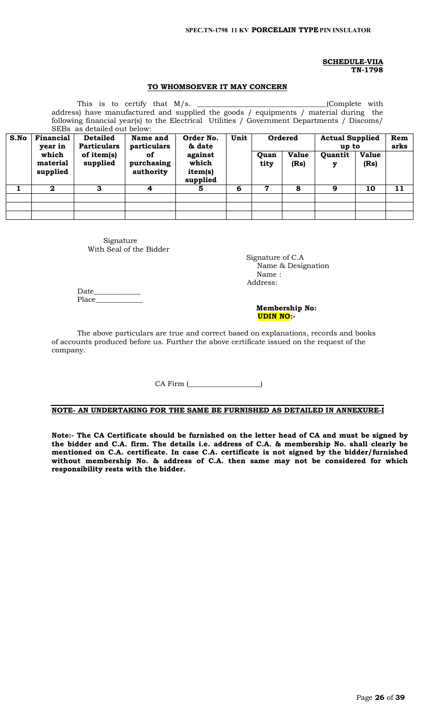## **SCHEDULE-VIIA TN-1798**

# **TO WHOMSOEVER IT MAY CONCERN**

| This is to certify that $M/s$ .<br>(Complete with<br>address) have manufactured and supplied the goods / equipments / material during the<br>following financial year(s) to the Electrical Utilities / Government Departments / Discoms/<br>SEBs as detailed out below: |                      |                    |                         |                              |      |                                   |              |         |              |      |
|-------------------------------------------------------------------------------------------------------------------------------------------------------------------------------------------------------------------------------------------------------------------------|----------------------|--------------------|-------------------------|------------------------------|------|-----------------------------------|--------------|---------|--------------|------|
| S.No                                                                                                                                                                                                                                                                    | Financial            | <b>Detailed</b>    | Name and                | Order No.                    | Unit | Ordered<br><b>Actual Supplied</b> |              |         |              | Rem  |
|                                                                                                                                                                                                                                                                         | year in              | <b>Particulars</b> | particulars             | & date                       |      |                                   |              | up to   |              | arks |
|                                                                                                                                                                                                                                                                         | which                | of item( $s$ )     | of                      | against                      |      | Quan                              | <b>Value</b> | Quantit | <b>Value</b> |      |
|                                                                                                                                                                                                                                                                         | material<br>supplied | supplied           | purchasing<br>authority | which<br>item(s)<br>supplied |      | tity                              | (Rs)         | у       | (Rs)         |      |
|                                                                                                                                                                                                                                                                         | $\mathbf{2}$         | 3                  | 4                       | 5                            | 6    | 7                                 | 8            | 9       | 10           | 11   |
|                                                                                                                                                                                                                                                                         |                      |                    |                         |                              |      |                                   |              |         |              |      |
|                                                                                                                                                                                                                                                                         |                      |                    |                         |                              |      |                                   |              |         |              |      |
|                                                                                                                                                                                                                                                                         |                      |                    |                         |                              |      |                                   |              |         |              |      |

Signature With Seal of the Bidder

 Signature of C.A Name & Designation Name : Address:

Date\_\_\_\_\_\_\_\_\_\_\_\_\_ Place\_

 **Membership No: UDIN NO:-** 

The above particulars are true and correct based on explanations, records and books of accounts produced before us. Further the above certificate issued on the request of the company.

CA Firm (\_\_\_\_\_\_\_\_\_\_\_\_\_\_\_\_\_\_\_\_)

# **NOTE- AN UNDERTAKING FOR THE SAME BE FURNISHED AS DETAILED IN ANNEXURE-I**

**Note:- The CA Certificate should be furnished on the letter head of CA and must be signed by the bidder and C.A. firm. The details i.e. address of C.A. & membership No. shall clearly be mentioned on C.A. certificate. In case C.A. certificate is not signed by the bidder/furnished without membership No. & address of C.A. then same may not be considered for which responsibility rests with the bidder.**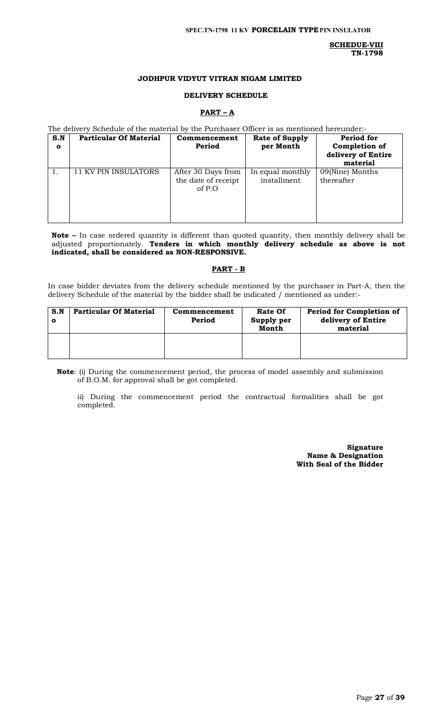#### **SPEC.TN-1798 11 KV PORCELAIN TYPEPIN INSULATOR**

**SCHEDUE-VIII TN-1798**

# **JODHPUR VIDYUT VITRAN NIGAM LIMITED**

#### **DELIVERY SCHEDULE**

# **PART – A**

The delivery Schedule of the material by the Purchaser Officer is as mentioned hereunder:-

| S.N<br>$\mathbf{o}$ | <b>Particular Of Material</b> | Commencement<br>Period                                | <b>Rate of Supply</b><br>per Month | Period for<br>Completion of<br>delivery of Entire<br>material |
|---------------------|-------------------------------|-------------------------------------------------------|------------------------------------|---------------------------------------------------------------|
|                     | 11 KV PIN INSULATORS          | After 30 Days from<br>the date of receipt<br>of $P.O$ | In equal monthly<br>installment    | 09(Nine) Months<br>thereafter                                 |

**Note –** In case ordered quantity is different than quoted quantity, then monthly delivery shall be adjusted proportionately. **Tenders in which monthly delivery schedule as above is not indicated, shall be considered as NON-RESPONSIVE.**

#### **PART - B**

In case bidder deviates from the delivery schedule mentioned by the purchaser in Part-A, then the delivery Schedule of the material by the bidder shall be indicated / mentioned as under:-

| S.N | <b>Particular Of Material</b> | Commencement<br>Period | <b>Rate Of</b><br>Supply per<br>Month | Period for Completion of<br>delivery of Entire<br>material |
|-----|-------------------------------|------------------------|---------------------------------------|------------------------------------------------------------|
|     |                               |                        |                                       |                                                            |

**Note**: (i) During the commencement period, the process of model assembly and submission of B.O.M. for approval shall be got completed.

ii) During the commencement period the contractual formalities shall be got completed.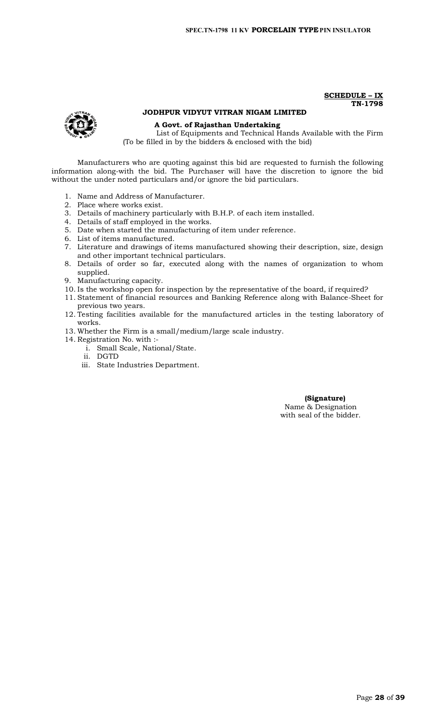**SCHEDULE – IX TN-1798**

# **JODHPUR VIDYUT VITRAN NIGAM LIMITED**

**A Govt. of Rajasthan Undertaking**

List of Equipments and Technical Hands Available with the Firm (To be filled in by the bidders & enclosed with the bid)

Manufacturers who are quoting against this bid are requested to furnish the following information along-with the bid. The Purchaser will have the discretion to ignore the bid without the under noted particulars and/or ignore the bid particulars.

- 1. Name and Address of Manufacturer.
- 2. Place where works exist.
- 3. Details of machinery particularly with B.H.P. of each item installed.
- 4. Details of staff employed in the works.
- 5. Date when started the manufacturing of item under reference.
- 6. List of items manufactured.
- 7. Literature and drawings of items manufactured showing their description, size, design and other important technical particulars.
- 8. Details of order so far, executed along with the names of organization to whom supplied.
- 9. Manufacturing capacity.
- 10. Is the workshop open for inspection by the representative of the board, if required?
- 11. Statement of financial resources and Banking Reference along with Balance-Sheet for previous two years.
- 12. Testing facilities available for the manufactured articles in the testing laboratory of works.
- 13. Whether the Firm is a small/medium/large scale industry.
- 14. Registration No. with :
	- i. Small Scale, National/State.
	- ii. DGTD
	- iii. State Industries Department.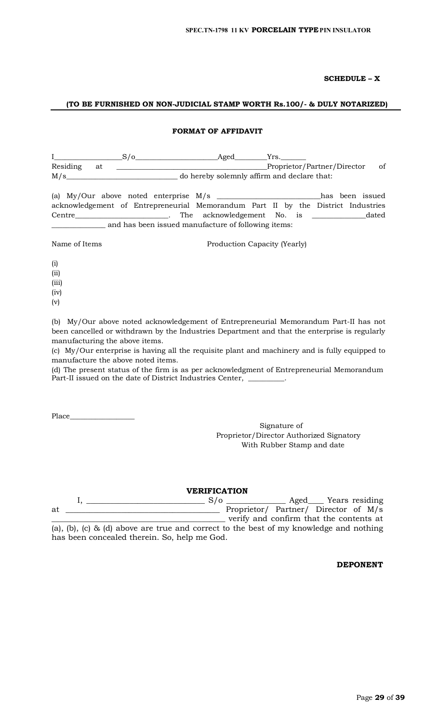# **SCHEDULE – X**

# **(TO BE FURNISHED ON NON-JUDICIAL STAMP WORTH Rs.100/- & DULY NOTARIZED)**

#### **FORMAT OF AFFIDAVIT**

|          |    | $S/\sigma$ | Aged                                                                             | Yrs. |                             |                 |
|----------|----|------------|----------------------------------------------------------------------------------|------|-----------------------------|-----------------|
| Residing | at |            |                                                                                  |      | Proprietor/Partner/Director | of              |
| M/s      |    |            | do hereby solemnly affirm and declare that:                                      |      |                             |                 |
|          |    |            | (a) $\text{My}/\text{Our}$ above noted enterprise $\text{M/s}$                   |      |                             | has been issued |
|          |    |            | acknowledgement of Entrepreneurial Memorandum Part II by the District Industries |      |                             |                 |

Centre\_\_\_\_\_\_\_\_\_\_\_\_\_\_\_\_\_\_\_\_\_\_\_\_\_\_. The acknowledgement No. is \_\_\_\_\_\_\_\_\_\_\_\_\_\_\_dated \_\_\_\_\_\_\_\_\_\_\_\_\_\_\_ and has been issued manufacture of following items:

Name of Items Production Capacity (Yearly)

(i) (ii) (iii)

(iv)

(v)

(b) My/Our above noted acknowledgement of Entrepreneurial Memorandum Part-II has not been cancelled or withdrawn by the Industries Department and that the enterprise is regularly manufacturing the above items.

(c) My/Our enterprise is having all the requisite plant and machinery and is fully equipped to manufacture the above noted items.

(d) The present status of the firm is as per acknowledgment of Entrepreneurial Memorandum Part-II issued on the date of District Industries Center, \_\_\_\_\_\_

Place\_\_\_\_\_\_\_\_\_\_\_\_\_\_\_\_\_\_

Signature of Proprietor/Director Authorized Signatory With Rubber Stamp and date

**VERIFICATION**

|    |  |                                                                                        |  | $S/\sigma$ |  |  | Aged Years residing                     |  |
|----|--|----------------------------------------------------------------------------------------|--|------------|--|--|-----------------------------------------|--|
| at |  |                                                                                        |  |            |  |  | Proprietor/ Partner/ Director of M/s    |  |
|    |  |                                                                                        |  |            |  |  | verify and confirm that the contents at |  |
|    |  | (a), (b), (c) & (d) above are true and correct to the best of my knowledge and nothing |  |            |  |  |                                         |  |

has been concealed therein. So, help me God.

**DEPONENT**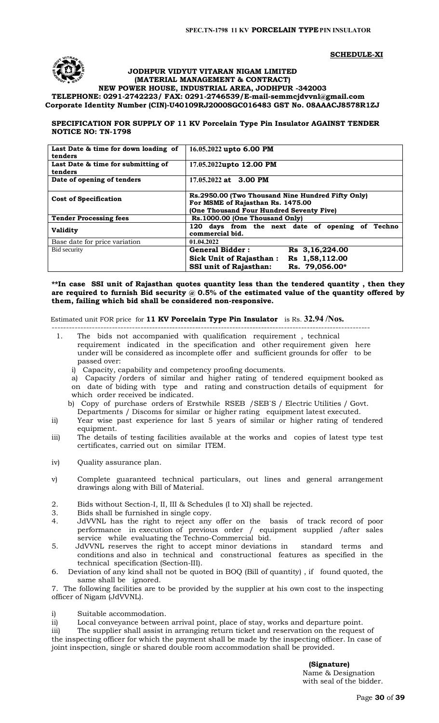



#### **JODHPUR VIDYUT VITARAN NIGAM LIMITED (MATERIAL MANAGEMENT & CONTRACT)**

# **NEW POWER HOUSE, INDUSTRIAL AREA, JODHPUR -342003 TELEPHONE: 0291-2742223/ FAX: 0291-2746539/E-mail-[semmcjdvvnl@gmail.com](mailto:semmcjdvvnl@gmail.com) Corporate Identity Number (CIN)-U40109RJ2000SGC016483 GST No. 08AAACJ8578R1ZJ**

# **SPECIFICATION FOR SUPPLY OF 11 KV Porcelain Type Pin Insulator AGAINST TENDER NOTICE NO: TN-1798**

| Last Date & time for down loading of<br>tenders | 16.05.2022 upto 6.00 PM                                                                                                            |  |  |  |  |  |
|-------------------------------------------------|------------------------------------------------------------------------------------------------------------------------------------|--|--|--|--|--|
| Last Date & time for submitting of<br>tenders   | 17.05.2022upto 12.00 PM                                                                                                            |  |  |  |  |  |
| Date of opening of tenders                      | 17.05.2022 at 3.00 PM                                                                                                              |  |  |  |  |  |
| <b>Cost of Specification</b>                    | Rs.2950.00 (Two Thousand Nine Hundred Fifty Only)<br>For MSME of Rajasthan Rs. 1475.00<br>(One Thousand Four Hundred Seventy Five) |  |  |  |  |  |
| <b>Tender Processing fees</b>                   | Rs.1000.00 (One Thousand Only)                                                                                                     |  |  |  |  |  |
| <b>Validity</b>                                 | 120 days from the next date of opening of Techno<br>commercial bid.                                                                |  |  |  |  |  |
| Base date for price variation                   | 01.04.2022                                                                                                                         |  |  |  |  |  |
| Bid security                                    | <b>General Bidder:</b><br>Rs 3,16,224.00                                                                                           |  |  |  |  |  |
|                                                 | Rs 1,58,112.00<br>Sick Unit of Rajasthan:                                                                                          |  |  |  |  |  |
|                                                 | <b>SSI unit of Rajasthan:</b><br>Rs. 79.056.00*                                                                                    |  |  |  |  |  |

**\*\*In case SSI unit of Rajasthan quotes quantity less than the tendered quantity , then they are required to furnish Bid security @ 0.5% of the estimated value of the quantity offered by them, failing which bid shall be considered non-responsive.**

Estimated unit FOR price for **11 KV Porcelain Type Pin Insulator** is Rs. **32.94 /Nos.**

- --------------------------------------------------------------------------------------------------------------- 1. The bids not accompanied with qualification requirement , technical requirement indicated in the specification and other requirement given here under will be considered as incomplete offer and sufficient grounds for offer to be passed over:
	- i) Capacity, capability and competency proofing documents.

a) Capacity /orders of similar and higher rating of tendered equipment booked as on date of biding with type and rating and construction details of equipment for which order received be indicated.

b) Copy of purchase orders of Erstwhile RSEB /SEB`S / Electric Utilities / Govt.

- Departments / Discoms for similar or higher rating equipment latest executed. ii) Year wise past experience for last 5 years of similar or higher rating of tendered
- equipment.
- iii) The details of testing facilities available at the works and copies of latest type test certificates, carried out on similar ITEM.
- iv) Quality assurance plan.
- v) Complete guaranteed technical particulars, out lines and general arrangement drawings along with Bill of Material.
- 2. Bids without Section-I, II, III & Schedules (I to XI) shall be rejected.
- 3. Bids shall be furnished in single copy.
- 4. JdVVNL has the right to reject any offer on the basis of track record of poor performance in execution of previous order / equipment supplied /after sales service while evaluating the Techno-Commercial bid.
- 5. JdVVNL reserves the right to accept minor deviations in standard terms and conditions and also in technical and constructional features as specified in the technical specification (Section-III).
- 6. Deviation of any kind shall not be quoted in BOQ (Bill of quantity) , if found quoted, the same shall be ignored.

7. The following facilities are to be provided by the supplier at his own cost to the inspecting officer of Nigam (JdVVNL).

i) Suitable accommodation.

ii) Local conveyance between arrival point, place of stay, works and departure point.

iii) The supplier shall assist in arranging return ticket and reservation on the request of the inspecting officer for which the payment shall be made by the inspecting officer. In case of joint inspection, single or shared double room accommodation shall be provided.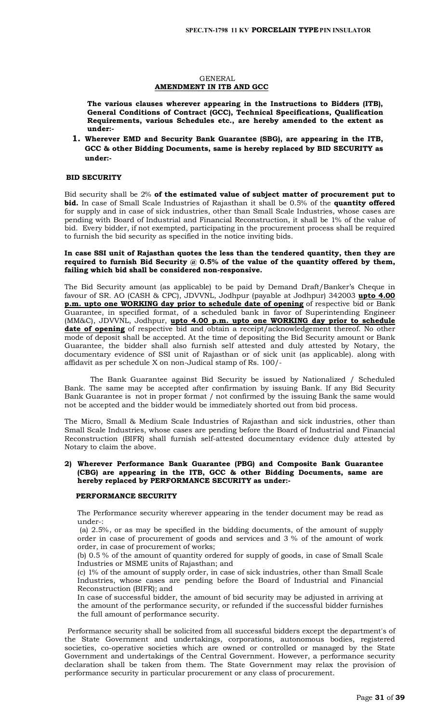#### GENERAL **AMENDMENT IN ITB AND GCC**

**The various clauses wherever appearing in the Instructions to Bidders (ITB), General Conditions of Contract (GCC), Technical Specifications, Qualification Requirements, various Schedules etc., are hereby amended to the extent as under:-**

**1. Wherever EMD and Security Bank Guarantee (SBG), are appearing in the ITB, GCC & other Bidding Documents, same is hereby replaced by BID SECURITY as under:-**

# **BID SECURITY**

Bid security shall be 2% **of the estimated value of subject matter of procurement put to bid.** In case of Small Scale Industries of Rajasthan it shall be 0.5% of the **quantity offered** for supply and in case of sick industries, other than Small Scale Industries, whose cases are pending with Board of Industrial and Financial Reconstruction, it shall be 1% of the value of bid. Every bidder, if not exempted, participating in the procurement process shall be required to furnish the bid security as specified in the notice inviting bids.

#### **In case SSI unit of Rajasthan quotes the less than the tendered quantity, then they are required to furnish Bid Security @ 0.5% of the value of the quantity offered by them, failing which bid shall be considered non-responsive.**

The Bid Security amount (as applicable) to be paid by Demand Draft/Banker's Cheque in favour of SR. AO (CASH & CPC), JDVVNL, Jodhpur (payable at Jodhpur) 342003 **upto 4.00 p.m. upto one WORKING day prior to schedule date of opening** of respective bid or Bank Guarantee, in specified format, of a scheduled bank in favor of Superintending Engineer (MM&C), JDVVNL, Jodhpur, **upto 4.00 p.m. upto one WORKING day prior to schedule date of opening** of respective bid and obtain a receipt/acknowledgement thereof. No other mode of deposit shall be accepted. At the time of depositing the Bid Security amount or Bank Guarantee, the bidder shall also furnish self attested and duly attested by Notary, the documentary evidence of SSI unit of Rajasthan or of sick unit (as applicable). along with affidavit as per schedule X on non-Judical stamp of Rs. 100/-

The Bank Guarantee against Bid Security be issued by Nationalized / Scheduled Bank. The same may be accepted after confirmation by issuing Bank. If any Bid Security Bank Guarantee is not in proper format / not confirmed by the issuing Bank the same would not be accepted and the bidder would be immediately shorted out from bid process.

The Micro, Small & Medium Scale Industries of Rajasthan and sick industries, other than Small Scale Industries, whose cases are pending before the Board of Industrial and Financial Reconstruction (BIFR) shall furnish self-attested documentary evidence duly attested by Notary to claim the above.

#### **2) Wherever Performance Bank Guarantee (PBG) and Composite Bank Guarantee (CBG) are appearing in the ITB, GCC & other Bidding Documents, same are hereby replaced by PERFORMANCE SECURITY as under:-**

#### **PERFORMANCE SECURITY**

The Performance security wherever appearing in the tender document may be read as under-:

(a) 2.5%, or as may be specified in the bidding documents, of the amount of supply order in case of procurement of goods and services and 3 % of the amount of work order, in case of procurement of works;

(b) 0.5 % of the amount of quantity ordered for supply of goods, in case of Small Scale Industries or MSME units of Rajasthan; and

(c) 1% of the amount of supply order, in case of sick industries, other than Small Scale Industries, whose cases are pending before the Board of Industrial and Financial Reconstruction (BIFR); and

In case of successful bidder, the amount of bid security may be adjusted in arriving at the amount of the performance security, or refunded if the successful bidder furnishes the full amount of performance security.

 Performance security shall be solicited from all successful bidders except the department's of the State Government and undertakings, corporations, autonomous bodies, registered societies, co-operative societies which are owned or controlled or managed by the State Government and undertakings of the Central Government. However, a performance security declaration shall be taken from them. The State Government may relax the provision of performance security in particular procurement or any class of procurement.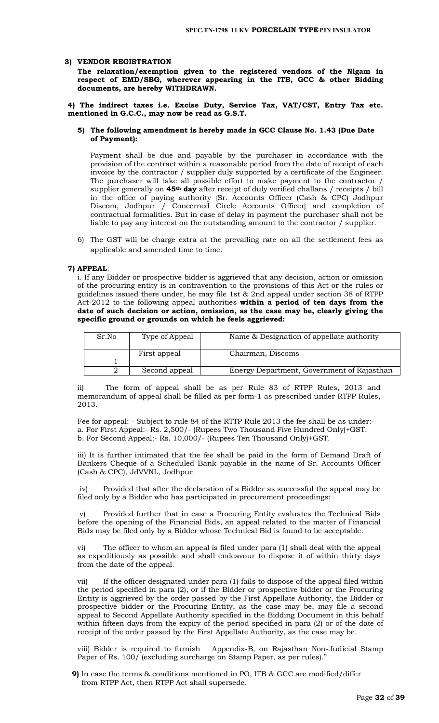#### **3) VENDOR REGISTRATION**

**The relaxation/exemption given to the registered vendors of the Nigam in respect of EMD/SBG, wherever appearing in the ITB, GCC & other Bidding documents, are hereby WITHDRAWN.** 

**4) The indirect taxes i.e. Excise Duty, Service Tax, VAT/CST, Entry Tax etc. mentioned in G.C.C., may now be read as G.S.T.** 

#### **5) The following amendment is hereby made in GCC Clause No. 1.43 (Due Date of Payment):**

Payment shall be due and payable by the purchaser in accordance with the provision of the contract within a reasonable period from the date of receipt of each invoice by the contractor / supplier duly supported by a certificate of the Engineer. The purchaser will take all possible effort to make payment to the contractor / supplier generally on **45th day** after receipt of duly verified challans / receipts / bill in the office of paying authority {Sr. Accounts Officer (Cash & CPC) Jodhpur Discom, Jodhpur / Concerned Circle Accounts Officer} and completion of contractual formalities. But in case of delay in payment the purchaser shall not be liable to pay any interest on the outstanding amount to the contractor / supplier.

6) The GST will be charge extra at the prevailing rate on all the settlement fees as applicable and amended time to time.

#### **7) APPEAL**:

i. If any Bidder or prospective bidder is aggrieved that any decision, action or omission of the procuring entity is in contravention to the provisions of this Act or the rules or guidelines issued there under, he may file 1st & 2nd appeal under section 38 of RTPP Act-2012 to the following appeal authorities **within a period of ten days from the date of such decision or action, omission, as the case may be, clearly giving the specific ground or grounds on which he feels aggrieved:** 

| Type of Appeal<br>Sr.No |               | Name & Designation of appellate authority  |
|-------------------------|---------------|--------------------------------------------|
|                         | First appeal  | Chairman, Discoms                          |
|                         |               |                                            |
|                         | Second appeal | Energy Department, Government of Rajasthan |

ii) The form of appeal shall be as per Rule 83 of RTPP Rules, 2013 and memorandum of appeal shall be filled as per form-1 as prescribed under RTPP Rules, 2013.

Fee for appeal: - Subject to rule 84 of the RTTP Rule 2013 the fee shall be as under: a. For First Appeal:- Rs. 2,500/- (Rupees Two Thousand Five Hundred Only)+GST. b. For Second Appeal:- Rs. 10,000/- (Rupees Ten Thousand Only)+GST.

iii) It is further intimated that the fee shall be paid in the form of Demand Draft of Bankers Cheque of a Scheduled Bank payable in the name of Sr. Accounts Officer (Cash & CPC), JdVVNL, Jodhpur.

iv) Provided that after the declaration of a Bidder as successful the appeal may be filed only by a Bidder who has participated in procurement proceedings:

Provided further that in case a Procuring Entity evaluates the Technical Bids before the opening of the Financial Bids, an appeal related to the matter of Financial Bids may be filed only by a Bidder whose Technical Bid is found to be acceptable.

vi) The officer to whom an appeal is filed under para (1) shall deal with the appeal as expeditiously as possible and shall endeavour to dispose it of within thirty days from the date of the appeal.

vii) If the officer designated under para (1) fails to dispose of the appeal filed within the period specified in para (2), or if the Bidder or prospective bidder or the Procuring Entity is aggrieved by the order passed by the First Appellate Authority, the Bidder or prospective bidder or the Procuring Entity, as the case may be, may file a second appeal to Second Appellate Authority specified in the Bidding Document in this behalf within fifteen days from the expiry of the period specified in para (2) or of the date of receipt of the order passed by the First Appellate Authority, as the case may be.

viii) Bidder is required to furnish Appendix-B, on Rajasthan Non-Judicial Stamp Paper of Rs. 100/ (excluding surcharge on Stamp Paper, as per rules)."

**9)** In case the terms & conditions mentioned in PO, ITB & GCC are modified/differ from RTPP Act, then RTPP Act shall supersede.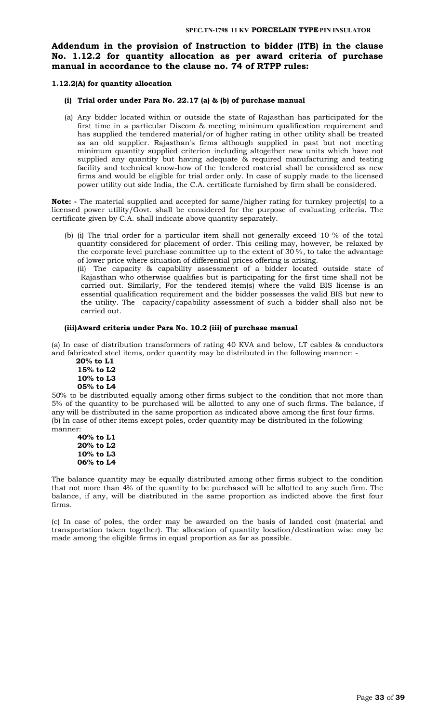# **Addendum in the provision of Instruction to bidder (ITB) in the clause No. 1.12.2 for quantity allocation as per award criteria of purchase manual in accordance to the clause no. 74 of RTPP rules:**

#### **1.12.2(A) for quantity allocation**

#### **(i) Trial order under Para No. 22.17 (a) & (b) of purchase manual**

(a) Any bidder located within or outside the state of Rajasthan has participated for the first time in a particular Discom & meeting minimum qualification requirement and has supplied the tendered material/or of higher rating in other utility shall be treated as an old supplier. Rajasthan's firms although supplied in past but not meeting minimum quantity supplied criterion including altogether new units which have not supplied any quantity but having adequate & required manufacturing and testing facility and technical know-how of the tendered material shall be considered as new firms and would be eligible for trial order only. In case of supply made to the licensed power utility out side India, the C.A. certificate furnished by firm shall be considered.

**Note: -** The material supplied and accepted for same/higher rating for turnkey project(s) to a licensed power utility/Govt. shall be considered for the purpose of evaluating criteria. The certificate given by C.A. shall indicate above quantity separately.

(b) (i) The trial order for a particular item shall not generally exceed 10 % of the total quantity considered for placement of order. This ceiling may, however, be relaxed by the corporate level purchase committee up to the extent of 30 %, to take the advantage of lower price where situation of differential prices offering is arising.

(ii) The capacity & capability assessment of a bidder located outside state of Rajasthan who otherwise qualifies but is participating for the first time shall not be carried out. Similarly, For the tendered item(s) where the valid BIS license is an essential qualification requirement and the bidder possesses the valid BIS but new to the utility. The capacity/capability assessment of such a bidder shall also not be carried out.

# **(iii)Award criteria under Para No. 10.2 (iii) of purchase manual**

(a) In case of distribution transformers of rating 40 KVA and below, LT cables & conductors and fabricated steel items, order quantity may be distributed in the following manner: -

 **20% to L1 15% to L2 10% to L3 05% to L4**

50% to be distributed equally among other firms subject to the condition that not more than 5% of the quantity to be purchased will be allotted to any one of such firms. The balance, if any will be distributed in the same proportion as indicated above among the first four firms. (b) In case of other items except poles, order quantity may be distributed in the following manner:

**40% to L1 20% to L2 10% to L3 06% to L4**

The balance quantity may be equally distributed among other firms subject to the condition that not more than 4% of the quantity to be purchased will be allotted to any such firm. The balance, if any, will be distributed in the same proportion as indicted above the first four firms.

(c) In case of poles, the order may be awarded on the basis of landed cost (material and transportation taken together). The allocation of quantity location/destination wise may be made among the eligible firms in equal proportion as far as possible.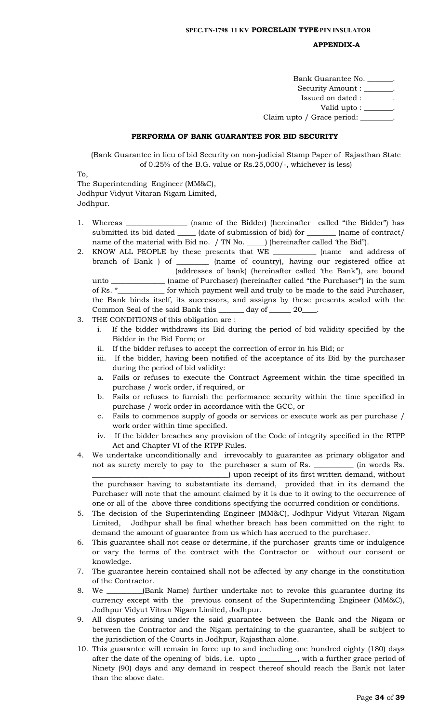#### **APPENDIX-A**

| Bank Guarantee No.                 | $\sim$ $\sim$ |
|------------------------------------|---------------|
| Security Amount : ________.        |               |
| Issued on dated : __               |               |
| Valid upto : $\_\_\_\_\_\_\_\_\$ . |               |
| Claim upto / Grace period:         |               |

#### **PERFORMA OF BANK GUARANTEE FOR BID SECURITY**

(Bank Guarantee in lieu of bid Security on non-judicial Stamp Paper of Rajasthan State of 0.25% of the B.G. value or Rs.25,000/-, whichever is less)

To,

The Superintending Engineer (MM&C), Jodhpur Vidyut Vitaran Nigam Limited, Jodhpur.

- 1. Whereas \_\_\_\_\_\_\_\_\_\_\_\_\_\_\_\_\_ (name of the Bidder) (hereinafter called "the Bidder") has submitted its bid dated \_\_\_\_\_ (date of submission of bid) for \_\_\_\_\_\_\_\_ (name of contract/ name of the material with Bid no. / TN No. \_\_\_\_\_) (hereinafter called 'the Bid").
- 2. KNOW ALL PEOPLE by these presents that WE \_\_\_\_\_\_\_\_\_\_\_\_ (name and address of branch of Bank ) of \_\_\_\_\_\_\_\_\_ (name of country), having our registered office at \_\_\_\_\_\_\_\_\_\_\_\_\_\_\_\_\_\_\_\_\_\_ (addresses of bank) (hereinafter called 'the Bank"), are bound unto \_\_\_\_\_\_\_\_\_\_\_\_\_\_\_ (name of Purchaser) (hereinafter called "the Purchaser") in the sum of Rs. \*\_\_\_\_\_\_\_\_\_\_\_\_\_ for which payment well and truly to be made to the said Purchaser, the Bank binds itself, its successors, and assigns by these presents sealed with the Common Seal of the said Bank this \_\_\_\_\_\_\_ day of \_\_\_\_\_\_ 20\_\_\_\_.
- 3. THE CONDITIONS of this obligation are :
	- i. If the bidder withdraws its Bid during the period of bid validity specified by the Bidder in the Bid Form; or
	- ii. If the bidder refuses to accept the correction of error in his Bid; or
	- iii. If the bidder, having been notified of the acceptance of its Bid by the purchaser during the period of bid validity:
	- a. Fails or refuses to execute the Contract Agreement within the time specified in purchase / work order, if required, or
	- b. Fails or refuses to furnish the performance security within the time specified in purchase / work order in accordance with the GCC, or
	- c. Fails to commence supply of goods or services or execute work as per purchase / work order within time specified.
	- iv. If the bidder breaches any provision of the Code of integrity specified in the RTPP Act and Chapter VI of the RTPP Rules.
- 4. We undertake unconditionally and irrevocably to guarantee as primary obligator and not as surety merely to pay to the purchaser a sum of Rs. \_\_\_\_\_\_\_\_\_\_\_ (in words Rs. \_\_\_\_\_\_\_\_\_\_\_\_\_\_\_\_\_\_\_\_\_\_\_\_\_\_\_\_\_\_\_\_\_\_\_\_\_\_) upon receipt of its first written demand, without

the purchaser having to substantiate its demand, provided that in its demand the Purchaser will note that the amount claimed by it is due to it owing to the occurrence of one or all of the above three conditions specifying the occurred condition or conditions.

- 5. The decision of the Superintending Engineer (MM&C), Jodhpur Vidyut Vitaran Nigam Limited, Jodhpur shall be final whether breach has been committed on the right to demand the amount of guarantee from us which has accrued to the purchaser.
- 6. This guarantee shall not cease or determine, if the purchaser grants time or indulgence or vary the terms of the contract with the Contractor or without our consent or knowledge.
- 7. The guarantee herein contained shall not be affected by any change in the constitution of the Contractor.
- 8. We \_\_\_\_\_\_\_\_\_\_(Bank Name) further undertake not to revoke this guarantee during its currency except with the previous consent of the Superintending Engineer (MM&C), Jodhpur Vidyut Vitran Nigam Limited, Jodhpur.
- 9. All disputes arising under the said guarantee between the Bank and the Nigam or between the Contractor and the Nigam pertaining to the guarantee, shall be subject to the jurisdiction of the Courts in Jodhpur, Rajasthan alone.
- 10. This guarantee will remain in force up to and including one hundred eighty (180) days after the date of the opening of bids, i.e. upto \_\_\_\_\_\_\_\_\_\_\_, with a further grace period of Ninety (90) days and any demand in respect thereof should reach the Bank not later than the above date.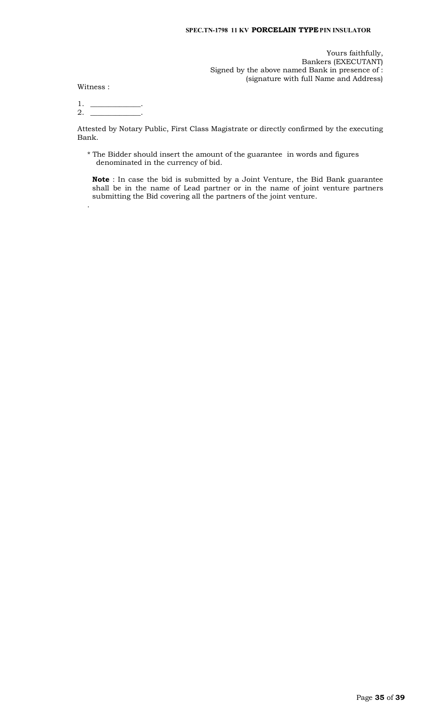## **SPEC.TN-1798 11 KV PORCELAIN TYPEPIN INSULATOR**

Yours faithfully, Bankers (EXECUTANT) Signed by the above named Bank in presence of : (signature with full Name and Address)

Witness :

.

1. \_\_\_\_\_\_\_\_\_\_\_\_\_\_.  $2.$  \_

Attested by Notary Public, First Class Magistrate or directly confirmed by the executing Bank.

\* The Bidder should insert the amount of the guarantee in words and figures denominated in the currency of bid.

**Note** : In case the bid is submitted by a Joint Venture, the Bid Bank guarantee shall be in the name of Lead partner or in the name of joint venture partners submitting the Bid covering all the partners of the joint venture.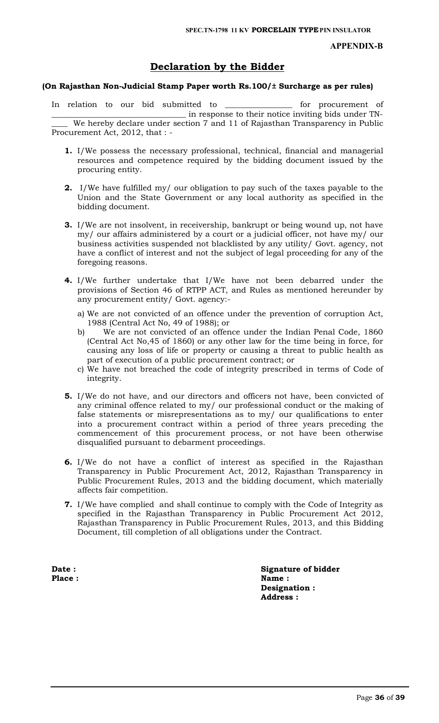## **APPENDIX-B**

# **Declaration by the Bidder**

# **(On Rajasthan Non-Judicial Stamp Paper worth Rs.100/± Surcharge as per rules)**

In relation to our bid submitted to \_\_\_\_\_\_\_\_\_\_\_\_\_\_\_\_\_ for procurement of \_\_\_\_\_\_\_\_\_\_\_\_\_\_\_\_\_\_\_\_\_\_\_\_\_\_\_\_\_\_\_\_\_\_ in response to their notice inviting bids under TN- We hereby declare under section 7 and 11 of Rajasthan Transparency in Public Procurement Act, 2012, that : -

- **1.** I/We possess the necessary professional, technical, financial and managerial resources and competence required by the bidding document issued by the procuring entity.
- **2.** I/We have fulfilled my/ our obligation to pay such of the taxes payable to the Union and the State Government or any local authority as specified in the bidding document.
- **3.** I/We are not insolvent, in receivership, bankrupt or being wound up, not have my/ our affairs administered by a court or a judicial officer, not have my/ our business activities suspended not blacklisted by any utility/ Govt. agency, not have a conflict of interest and not the subject of legal proceeding for any of the foregoing reasons.
- **4.** I/We further undertake that I/We have not been debarred under the provisions of Section 46 of RTPP ACT, and Rules as mentioned hereunder by any procurement entity/ Govt. agency:
	- a) We are not convicted of an offence under the prevention of corruption Act, 1988 (Central Act No, 49 of 1988); or
	- b) We are not convicted of an offence under the Indian Penal Code, 1860 (Central Act No,45 of 1860) or any other law for the time being in force, for causing any loss of life or property or causing a threat to public health as part of execution of a public procurement contract; or
	- c) We have not breached the code of integrity prescribed in terms of Code of integrity.
- **5.** I/We do not have, and our directors and officers not have, been convicted of any criminal offence related to my/ our professional conduct or the making of false statements or misrepresentations as to my/ our qualifications to enter into a procurement contract within a period of three years preceding the commencement of this procurement process, or not have been otherwise disqualified pursuant to debarment proceedings.
- **6.** I/We do not have a conflict of interest as specified in the Rajasthan Transparency in Public Procurement Act, 2012, Rajasthan Transparency in Public Procurement Rules, 2013 and the bidding document, which materially affects fair competition.
- **7.** I/We have complied and shall continue to comply with the Code of Integrity as specified in the Rajasthan Transparency in Public Procurement Act 2012, Rajasthan Transparency in Public Procurement Rules, 2013, and this Bidding Document, till completion of all obligations under the Contract.

**Date :** Signature of bidder Place : Name : Name : Name : Name : Name : Name : Name : Name : Name : Name : Name : Name : Name : Name : Name :  $N = 1$ **Designation : Address :**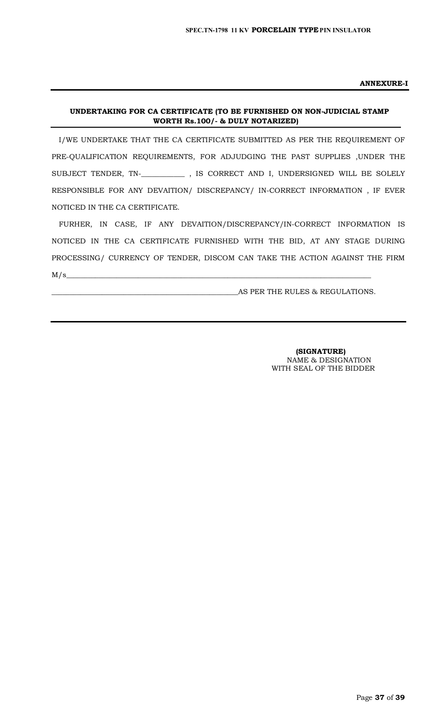**ANNEXURE-I**

# **UNDERTAKING FOR CA CERTIFICATE (TO BE FURNISHED ON NON-JUDICIAL STAMP WORTH Rs.100/- & DULY NOTARIZED)**

I/WE UNDERTAKE THAT THE CA CERTIFICATE SUBMITTED AS PER THE REQUIREMENT OF PRE-QUALIFICATION REQUIREMENTS, FOR ADJUDGING THE PAST SUPPLIES ,UNDER THE SUBJECT TENDER, TN-\_**\_\_\_\_\_\_\_\_\_\_\_** , IS CORRECT AND I, UNDERSIGNED WILL BE SOLELY RESPONSIBLE FOR ANY DEVAITION/ DISCREPANCY/ IN-CORRECT INFORMATION , IF EVER NOTICED IN THE CA CERTIFICATE.

FURHER, IN CASE, IF ANY DEVAITION/DISCREPANCY/IN-CORRECT INFORMATION IS NOTICED IN THE CA CERTIFICATE FURNISHED WITH THE BID, AT ANY STAGE DURING PROCESSING/ CURRENCY OF TENDER, DISCOM CAN TAKE THE ACTION AGAINST THE FIRM  $M/s$   $\sim$ 

AS PER THE RULES & REGULATIONS.

 **(SIGNATURE)** NAME & DESIGNATION WITH SEAL OF THE BIDDER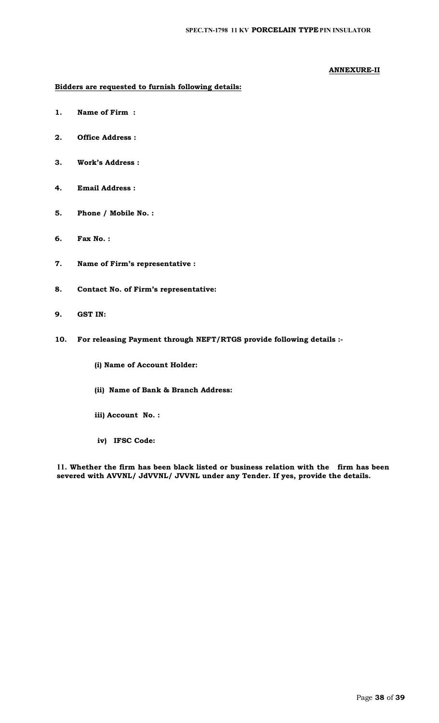# **ANNEXURE-II**

# **Bidders are requested to furnish following details:**

- **1. Name of Firm :**
- **2. Office Address :**
- **3. Work's Address :**
- **4. Email Address :**
- **5. Phone / Mobile No. :**
- **6. Fax No. :**
- **7. Name of Firm's representative :**
- **8. Contact No. of Firm's representative:**
- **9. GST IN:**
- **10. For releasing Payment through NEFT/RTGS provide following details :-**
	- **(i) Name of Account Holder:**
	- **(ii) Name of Bank & Branch Address:**
	- **iii) Account No. :**
	- **iv) IFSC Code:**

**11. Whether the firm has been black listed or business relation with the firm has been severed with AVVNL/ JdVVNL/ JVVNL under any Tender. If yes, provide the details.**